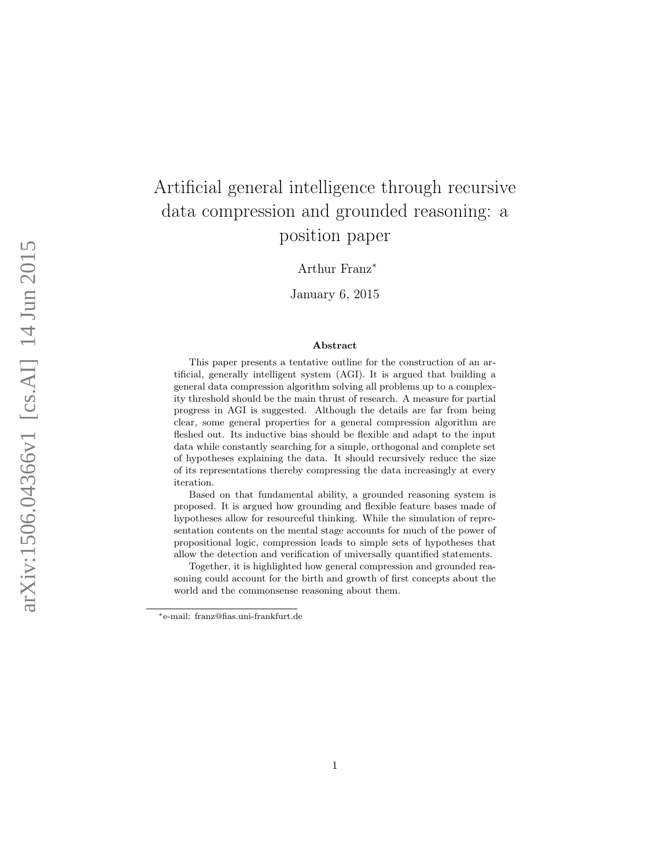# Artificial general intelligence through recursive data compression and grounded reasoning: a position paper

Arthur Franz<sup>∗</sup>

January 6, 2015

#### Abstract

This paper presents a tentative outline for the construction of an artificial, generally intelligent system (AGI). It is argued that building a general data compression algorithm solving all problems up to a complexity threshold should be the main thrust of research. A measure for partial progress in AGI is suggested. Although the details are far from being clear, some general properties for a general compression algorithm are fleshed out. Its inductive bias should be flexible and adapt to the input data while constantly searching for a simple, orthogonal and complete set of hypotheses explaining the data. It should recursively reduce the size of its representations thereby compressing the data increasingly at every iteration.

Based on that fundamental ability, a grounded reasoning system is proposed. It is argued how grounding and flexible feature bases made of hypotheses allow for resourceful thinking. While the simulation of representation contents on the mental stage accounts for much of the power of propositional logic, compression leads to simple sets of hypotheses that allow the detection and verification of universally quantified statements.

Together, it is highlighted how general compression and grounded reasoning could account for the birth and growth of first concepts about the world and the commonsense reasoning about them.

<sup>∗</sup>e-mail: franz@fias.uni-frankfurt.de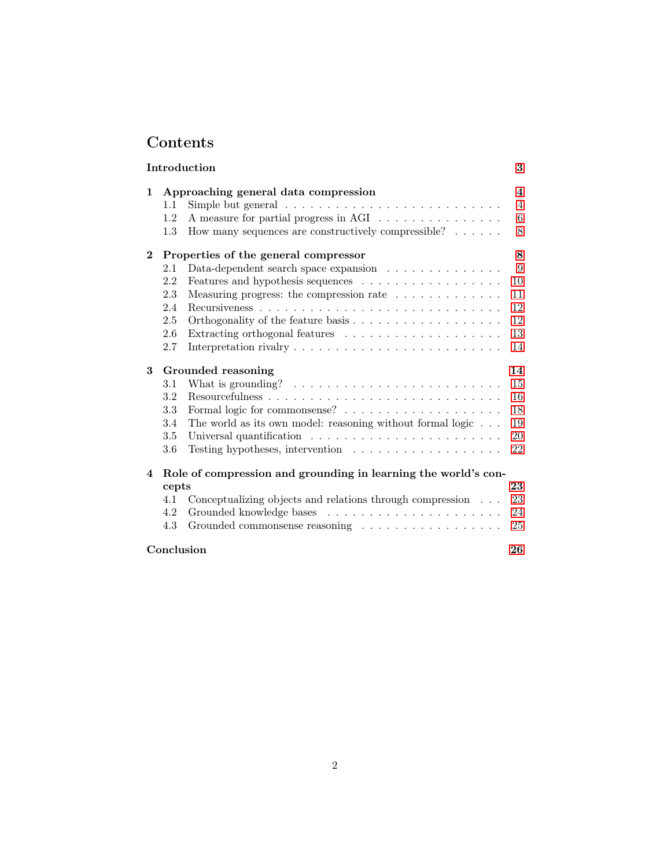## Contents

|          | Introduction                                                                                                                                                                                                                                                                                         | 3                                                   |  |
|----------|------------------------------------------------------------------------------------------------------------------------------------------------------------------------------------------------------------------------------------------------------------------------------------------------------|-----------------------------------------------------|--|
| 1        | Approaching general data compression<br>Simple but general $\ldots \ldots \ldots \ldots \ldots \ldots \ldots \ldots$<br>1.1<br>A measure for partial progress in AGI<br>1.2<br>How many sequences are constructively compressible? $\ldots \ldots$<br>1.3                                            | $\overline{\mathbf{4}}$<br>$\overline{4}$<br>6<br>8 |  |
| $\bf{2}$ | Properties of the general compressor<br>Data-dependent search space expansion $\ldots \ldots \ldots \ldots$<br>2.1<br>Features and hypothesis sequences<br>2.2<br>2.3<br>Measuring progress: the compression rate $\ldots \ldots \ldots \ldots$<br>2.4                                               | 8<br>9<br>10<br>11<br>12                            |  |
|          | 2.5<br>2.6<br>2.7                                                                                                                                                                                                                                                                                    | 12<br>13<br>14                                      |  |
| 3        | Grounded reasoning<br>What is grounding? $\ldots \ldots \ldots \ldots \ldots \ldots \ldots \ldots$<br>3.1<br>3.2<br>3.3<br>The world as its own model: reasoning without formal logic $\ldots$ .<br>3.4<br>3.5<br>Universal quantification $\ldots \ldots \ldots \ldots \ldots \ldots \ldots$<br>3.6 | 14<br>15<br>16<br>18<br>19<br>20<br>22              |  |
| 4        | Role of compression and grounding in learning the world's con-<br>cepts<br>Conceptualizing objects and relations through compression<br>4.1<br>4.2<br>Grounded commonsense reasoning $\ldots \ldots \ldots \ldots \ldots \ldots$<br>4.3                                                              | 23<br>23<br>24<br>25                                |  |
|          | Conclusion                                                                                                                                                                                                                                                                                           |                                                     |  |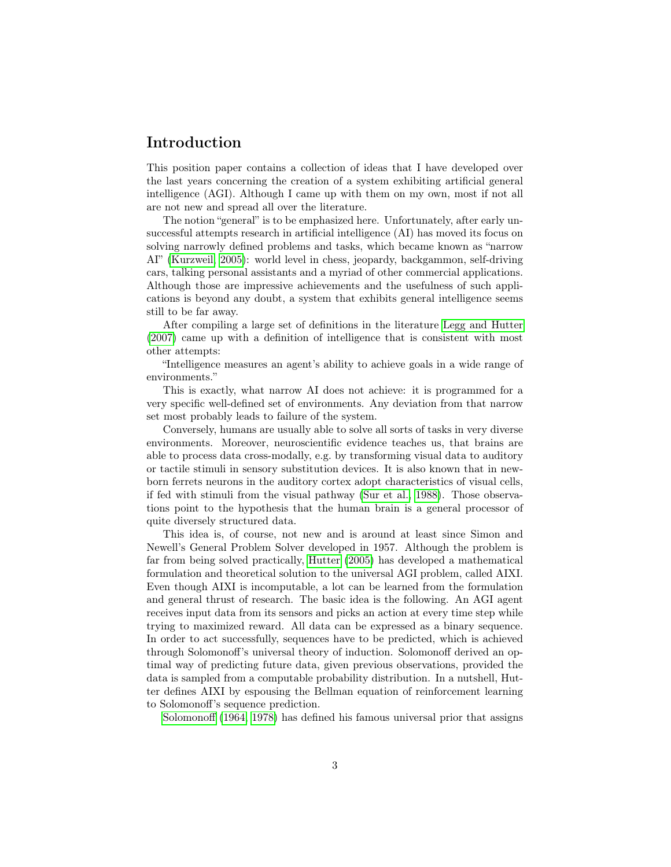## <span id="page-2-0"></span>Introduction

This position paper contains a collection of ideas that I have developed over the last years concerning the creation of a system exhibiting artificial general intelligence (AGI). Although I came up with them on my own, most if not all are not new and spread all over the literature.

The notion "general" is to be emphasized here. Unfortunately, after early unsuccessful attempts research in artificial intelligence (AI) has moved its focus on solving narrowly defined problems and tasks, which became known as "narrow AI" [\(Kurzweil, 2005\)](#page-27-0): world level in chess, jeopardy, backgammon, self-driving cars, talking personal assistants and a myriad of other commercial applications. Although those are impressive achievements and the usefulness of such applications is beyond any doubt, a system that exhibits general intelligence seems still to be far away.

After compiling a large set of definitions in the literature [Legg and Hutter](#page-27-1) [\(2007\)](#page-27-1) came up with a definition of intelligence that is consistent with most other attempts:

"Intelligence measures an agent's ability to achieve goals in a wide range of environments."

This is exactly, what narrow AI does not achieve: it is programmed for a very specific well-defined set of environments. Any deviation from that narrow set most probably leads to failure of the system.

Conversely, humans are usually able to solve all sorts of tasks in very diverse environments. Moreover, neuroscientific evidence teaches us, that brains are able to process data cross-modally, e.g. by transforming visual data to auditory or tactile stimuli in sensory substitution devices. It is also known that in newborn ferrets neurons in the auditory cortex adopt characteristics of visual cells, if fed with stimuli from the visual pathway [\(Sur et al., 1988\)](#page-28-0). Those observations point to the hypothesis that the human brain is a general processor of quite diversely structured data.

This idea is, of course, not new and is around at least since Simon and Newell's General Problem Solver developed in 1957. Although the problem is far from being solved practically, [Hutter](#page-27-2) [\(2005\)](#page-27-2) has developed a mathematical formulation and theoretical solution to the universal AGI problem, called AIXI. Even though AIXI is incomputable, a lot can be learned from the formulation and general thrust of research. The basic idea is the following. An AGI agent receives input data from its sensors and picks an action at every time step while trying to maximized reward. All data can be expressed as a binary sequence. In order to act successfully, sequences have to be predicted, which is achieved through Solomonoff's universal theory of induction. Solomonoff derived an optimal way of predicting future data, given previous observations, provided the data is sampled from a computable probability distribution. In a nutshell, Hutter defines AIXI by espousing the Bellman equation of reinforcement learning to Solomonoff's sequence prediction.

[Solomonoff](#page-28-1) [\(1964,](#page-28-1) [1978\)](#page-28-2) has defined his famous universal prior that assigns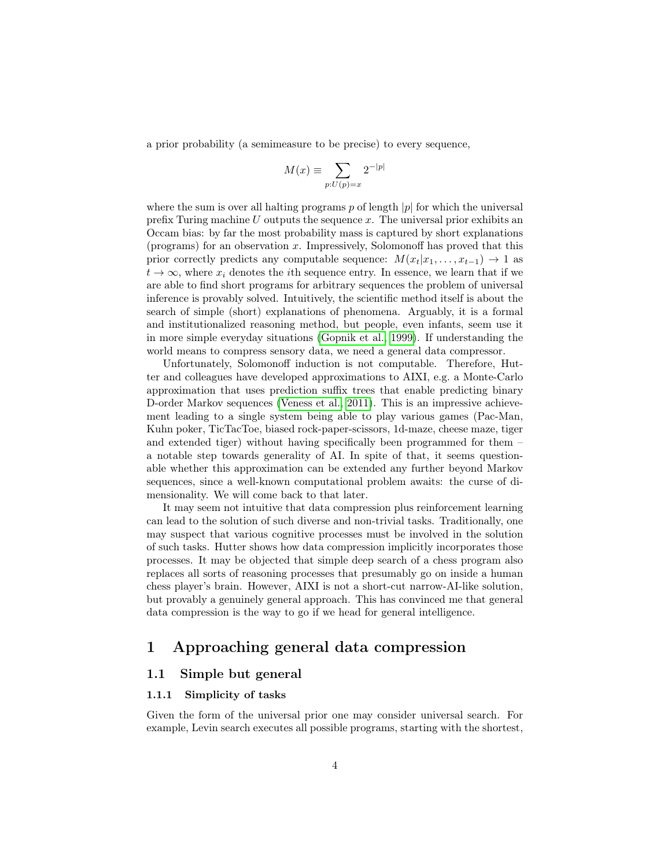a prior probability (a semimeasure to be precise) to every sequence,

$$
M(x) \equiv \sum_{p:U(p)=x} 2^{-|p|}
$$

where the sum is over all halting programs p of length  $|p|$  for which the universal prefix Turing machine  $U$  outputs the sequence  $x$ . The universal prior exhibits an Occam bias: by far the most probability mass is captured by short explanations (programs) for an observation  $x$ . Impressively, Solomonoff has proved that this prior correctly predicts any computable sequence:  $M(x_t|x_1, \ldots, x_{t-1}) \rightarrow 1$  as  $t \to \infty$ , where  $x_i$  denotes the *i*th sequence entry. In essence, we learn that if we are able to find short programs for arbitrary sequences the problem of universal inference is provably solved. Intuitively, the scientific method itself is about the search of simple (short) explanations of phenomena. Arguably, it is a formal and institutionalized reasoning method, but people, even infants, seem use it in more simple everyday situations [\(Gopnik et al., 1999\)](#page-27-3). If understanding the world means to compress sensory data, we need a general data compressor.

Unfortunately, Solomonoff induction is not computable. Therefore, Hutter and colleagues have developed approximations to AIXI, e.g. a Monte-Carlo approximation that uses prediction suffix trees that enable predicting binary D-order Markov sequences [\(Veness et al., 2011\)](#page-28-3). This is an impressive achievement leading to a single system being able to play various games (Pac-Man, Kuhn poker, TicTacToe, biased rock-paper-scissors, 1d-maze, cheese maze, tiger and extended tiger) without having specifically been programmed for them – a notable step towards generality of AI. In spite of that, it seems questionable whether this approximation can be extended any further beyond Markov sequences, since a well-known computational problem awaits: the curse of dimensionality. We will come back to that later.

It may seem not intuitive that data compression plus reinforcement learning can lead to the solution of such diverse and non-trivial tasks. Traditionally, one may suspect that various cognitive processes must be involved in the solution of such tasks. Hutter shows how data compression implicitly incorporates those processes. It may be objected that simple deep search of a chess program also replaces all sorts of reasoning processes that presumably go on inside a human chess player's brain. However, AIXI is not a short-cut narrow-AI-like solution, but provably a genuinely general approach. This has convinced me that general data compression is the way to go if we head for general intelligence.

## <span id="page-3-0"></span>1 Approaching general data compression

#### <span id="page-3-1"></span>1.1 Simple but general

#### 1.1.1 Simplicity of tasks

Given the form of the universal prior one may consider universal search. For example, Levin search executes all possible programs, starting with the shortest,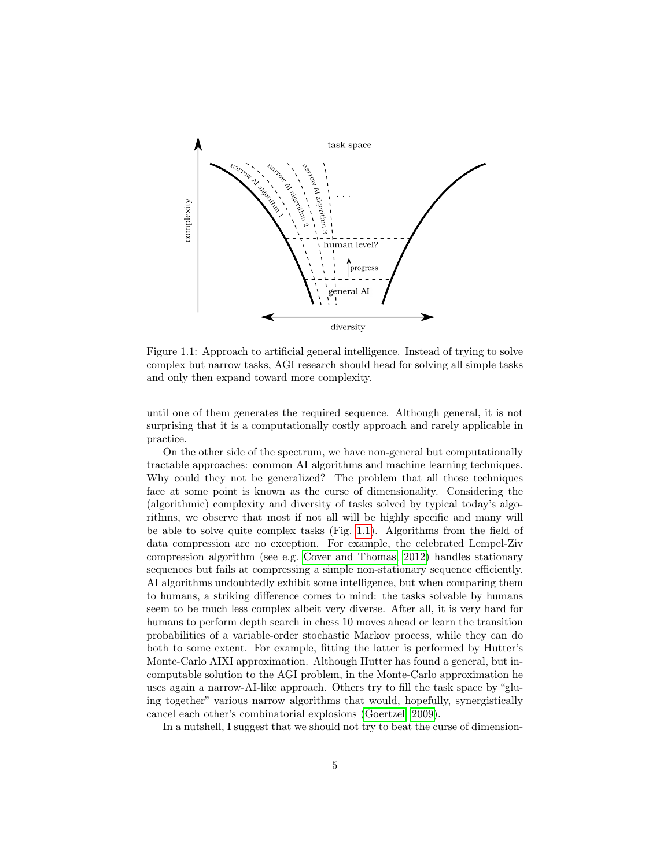

<span id="page-4-0"></span>Figure 1.1: Approach to artificial general intelligence. Instead of trying to solve complex but narrow tasks, AGI research should head for solving all simple tasks and only then expand toward more complexity.

until one of them generates the required sequence. Although general, it is not surprising that it is a computationally costly approach and rarely applicable in practice.

On the other side of the spectrum, we have non-general but computationally tractable approaches: common AI algorithms and machine learning techniques. Why could they not be generalized? The problem that all those techniques face at some point is known as the curse of dimensionality. Considering the (algorithmic) complexity and diversity of tasks solved by typical today's algorithms, we observe that most if not all will be highly specific and many will be able to solve quite complex tasks (Fig. [1.1\)](#page-4-0). Algorithms from the field of data compression are no exception. For example, the celebrated Lempel-Ziv compression algorithm (see e.g. [Cover and Thomas, 2012\)](#page-26-0) handles stationary sequences but fails at compressing a simple non-stationary sequence efficiently. AI algorithms undoubtedly exhibit some intelligence, but when comparing them to humans, a striking difference comes to mind: the tasks solvable by humans seem to be much less complex albeit very diverse. After all, it is very hard for humans to perform depth search in chess 10 moves ahead or learn the transition probabilities of a variable-order stochastic Markov process, while they can do both to some extent. For example, fitting the latter is performed by Hutter's Monte-Carlo AIXI approximation. Although Hutter has found a general, but incomputable solution to the AGI problem, in the Monte-Carlo approximation he uses again a narrow-AI-like approach. Others try to fill the task space by "gluing together" various narrow algorithms that would, hopefully, synergistically cancel each other's combinatorial explosions [\(Goertzel, 2009\)](#page-27-4).

In a nutshell, I suggest that we should not try to beat the curse of dimension-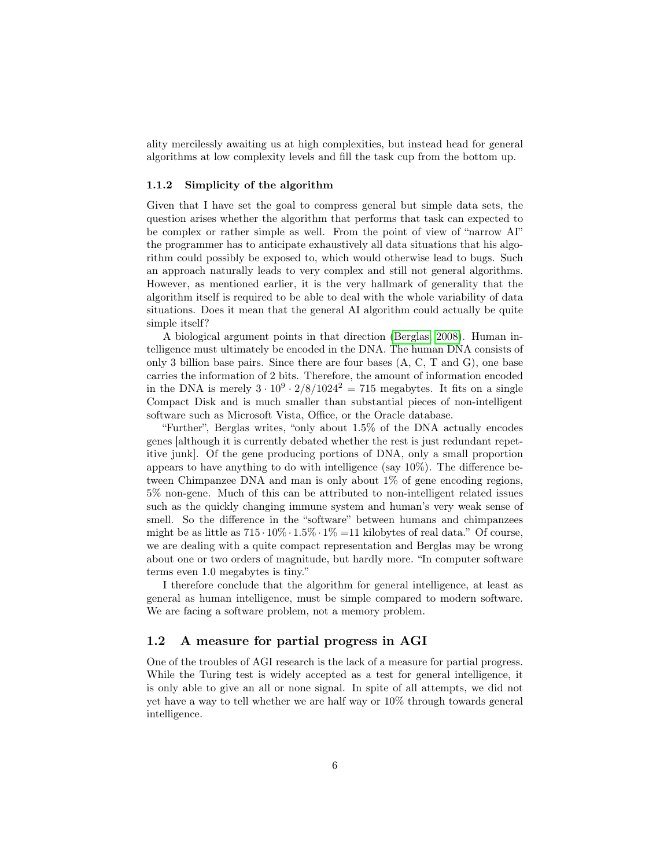ality mercilessly awaiting us at high complexities, but instead head for general algorithms at low complexity levels and fill the task cup from the bottom up.

#### 1.1.2 Simplicity of the algorithm

Given that I have set the goal to compress general but simple data sets, the question arises whether the algorithm that performs that task can expected to be complex or rather simple as well. From the point of view of "narrow AI" the programmer has to anticipate exhaustively all data situations that his algorithm could possibly be exposed to, which would otherwise lead to bugs. Such an approach naturally leads to very complex and still not general algorithms. However, as mentioned earlier, it is the very hallmark of generality that the algorithm itself is required to be able to deal with the whole variability of data situations. Does it mean that the general AI algorithm could actually be quite simple itself?

A biological argument points in that direction [\(Berglas, 2008\)](#page-26-1). Human intelligence must ultimately be encoded in the DNA. The human DNA consists of only 3 billion base pairs. Since there are four bases (A, C, T and G), one base carries the information of 2 bits. Therefore, the amount of information encoded in the DNA is merely  $3 \cdot 10^9 \cdot 2/8/1024^2 = 715$  megabytes. It fits on a single Compact Disk and is much smaller than substantial pieces of non-intelligent software such as Microsoft Vista, Office, or the Oracle database.

"Further", Berglas writes, "only about 1.5% of the DNA actually encodes genes [although it is currently debated whether the rest is just redundant repetitive junk]. Of the gene producing portions of DNA, only a small proportion appears to have anything to do with intelligence (say 10%). The difference between Chimpanzee DNA and man is only about 1% of gene encoding regions, 5% non-gene. Much of this can be attributed to non-intelligent related issues such as the quickly changing immune system and human's very weak sense of smell. So the difference in the "software" between humans and chimpanzees might be as little as  $715 \cdot 10\% \cdot 1.5\% \cdot 1\% = 11$  kilobytes of real data." Of course, we are dealing with a quite compact representation and Berglas may be wrong about one or two orders of magnitude, but hardly more. "In computer software terms even 1.0 megabytes is tiny."

I therefore conclude that the algorithm for general intelligence, at least as general as human intelligence, must be simple compared to modern software. We are facing a software problem, not a memory problem.

#### <span id="page-5-0"></span>1.2 A measure for partial progress in AGI

One of the troubles of AGI research is the lack of a measure for partial progress. While the Turing test is widely accepted as a test for general intelligence, it is only able to give an all or none signal. In spite of all attempts, we did not yet have a way to tell whether we are half way or 10% through towards general intelligence.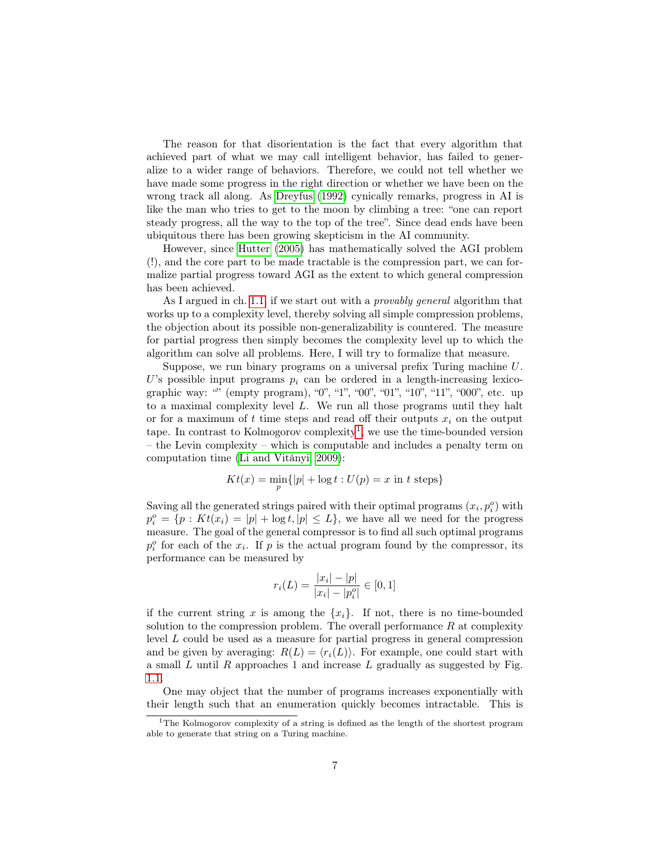The reason for that disorientation is the fact that every algorithm that achieved part of what we may call intelligent behavior, has failed to generalize to a wider range of behaviors. Therefore, we could not tell whether we have made some progress in the right direction or whether we have been on the wrong track all along. As [Dreyfus](#page-27-5) [\(1992\)](#page-27-5) cynically remarks, progress in AI is like the man who tries to get to the moon by climbing a tree: "one can report steady progress, all the way to the top of the tree". Since dead ends have been ubiquitous there has been growing skepticism in the AI community.

However, since [Hutter](#page-27-2) [\(2005\)](#page-27-2) has mathematically solved the AGI problem (!), and the core part to be made tractable is the compression part, we can formalize partial progress toward AGI as the extent to which general compression has been achieved.

As I argued in ch. [1.1,](#page-3-1) if we start out with a provably general algorithm that works up to a complexity level, thereby solving all simple compression problems, the objection about its possible non-generalizability is countered. The measure for partial progress then simply becomes the complexity level up to which the algorithm can solve all problems. Here, I will try to formalize that measure.

Suppose, we run binary programs on a universal prefix Turing machine U. U's possible input programs  $p_i$  can be ordered in a length-increasing lexicographic way: "" (empty program), "0", "1", "00", "01", "10", "11", "000", etc. up to a maximal complexity level L. We run all those programs until they halt or for a maximum of t time steps and read off their outputs  $x_i$  on the output tape. In contrast to Kolmogorov complexity<sup>[1](#page-6-0)</sup>, we use the time-bounded version – the Levin complexity – which is computable and includes a penalty term on computation time [\(Li and Vitányi, 2009\)](#page-27-6):

$$
Kt(x) = \min_{p} \{|p| + \log t : U(p) = x \text{ in } t \text{ steps}\}
$$

Saving all the generated strings paired with their optimal programs  $(x_i, p_i^o)$  with  $p_i^o = \{p : Kt(x_i) = |p| + \log t, |p| \leq L\}$ , we have all we need for the progress measure. The goal of the general compressor is to find all such optimal programs  $p_i^o$  for each of the  $x_i$ . If p is the actual program found by the compressor, its performance can be measured by

$$
r_i(L) = \frac{|x_i| - |p|}{|x_i| - |p_i^o|} \in [0, 1]
$$

if the current string x is among the  $\{x_i\}$ . If not, there is no time-bounded solution to the compression problem. The overall performance  $R$  at complexity level L could be used as a measure for partial progress in general compression and be given by averaging:  $R(L) = \langle r_i(L) \rangle$ . For example, one could start with a small  $L$  until  $R$  approaches 1 and increase  $L$  gradually as suggested by Fig. [1.1.](#page-4-0)

One may object that the number of programs increases exponentially with their length such that an enumeration quickly becomes intractable. This is

<span id="page-6-0"></span><sup>&</sup>lt;sup>1</sup>The Kolmogorov complexity of a string is defined as the length of the shortest program able to generate that string on a Turing machine.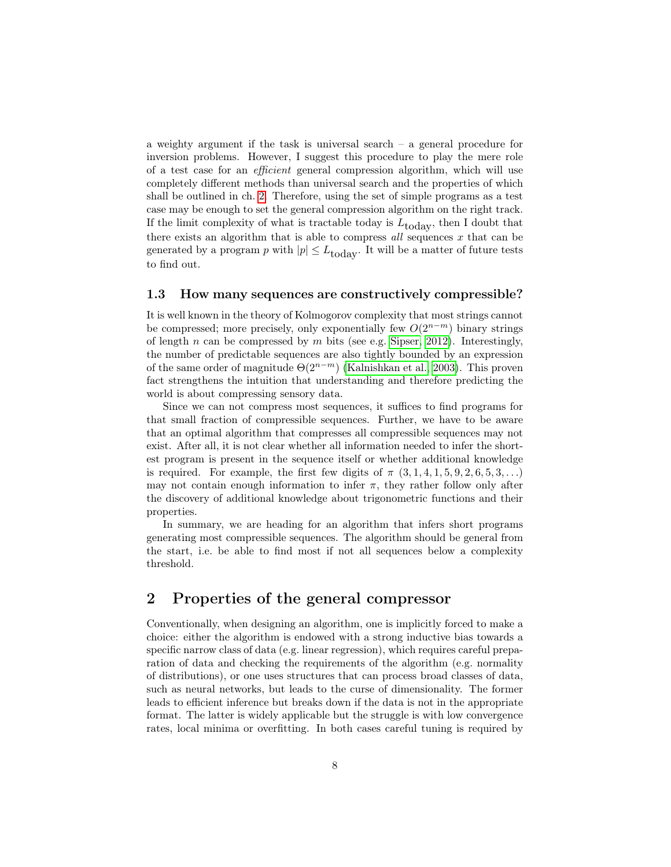a weighty argument if the task is universal search – a general procedure for inversion problems. However, I suggest this procedure to play the mere role of a test case for an efficient general compression algorithm, which will use completely different methods than universal search and the properties of which shall be outlined in ch. [2.](#page-7-1) Therefore, using the set of simple programs as a test case may be enough to set the general compression algorithm on the right track. If the limit complexity of what is tractable today is  $L_{\text{today}}$ , then I doubt that there exists an algorithm that is able to compress  $all$  sequences  $x$  that can be generated by a program p with  $|p| \leq L_{\text{today}}$ . It will be a matter of future tests to find out.

#### <span id="page-7-0"></span>1.3 How many sequences are constructively compressible?

It is well known in the theory of Kolmogorov complexity that most strings cannot be compressed; more precisely, only exponentially few  $O(2^{n-m})$  binary strings of length n can be compressed by m bits (see e.g. [Sipser, 2012\)](#page-28-4). Interestingly, the number of predictable sequences are also tightly bounded by an expression of the same order of magnitude  $\Theta(2^{n-m})$  [\(Kalnishkan et al., 2003\)](#page-27-7). This proven fact strengthens the intuition that understanding and therefore predicting the world is about compressing sensory data.

Since we can not compress most sequences, it suffices to find programs for that small fraction of compressible sequences. Further, we have to be aware that an optimal algorithm that compresses all compressible sequences may not exist. After all, it is not clear whether all information needed to infer the shortest program is present in the sequence itself or whether additional knowledge is required. For example, the first few digits of  $\pi$   $(3, 1, 4, 1, 5, 9, 2, 6, 5, 3, ...)$ may not contain enough information to infer  $\pi$ , they rather follow only after the discovery of additional knowledge about trigonometric functions and their properties.

In summary, we are heading for an algorithm that infers short programs generating most compressible sequences. The algorithm should be general from the start, i.e. be able to find most if not all sequences below a complexity threshold.

## <span id="page-7-1"></span>2 Properties of the general compressor

Conventionally, when designing an algorithm, one is implicitly forced to make a choice: either the algorithm is endowed with a strong inductive bias towards a specific narrow class of data (e.g. linear regression), which requires careful preparation of data and checking the requirements of the algorithm (e.g. normality of distributions), or one uses structures that can process broad classes of data, such as neural networks, but leads to the curse of dimensionality. The former leads to efficient inference but breaks down if the data is not in the appropriate format. The latter is widely applicable but the struggle is with low convergence rates, local minima or overfitting. In both cases careful tuning is required by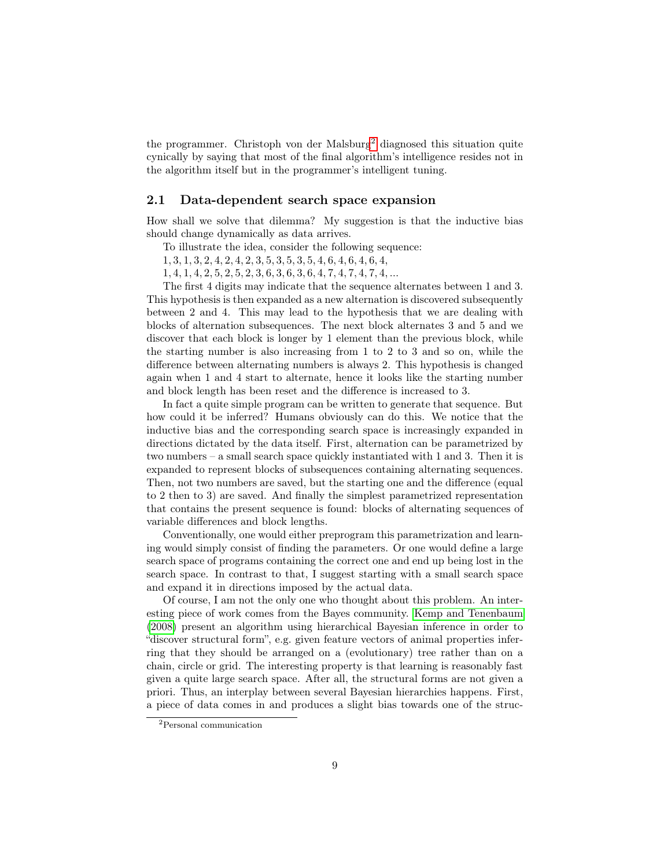the programmer. Christoph von der Malsburg<sup>[2](#page-8-1)</sup> diagnosed this situation quite cynically by saying that most of the final algorithm's intelligence resides not in the algorithm itself but in the programmer's intelligent tuning.

#### <span id="page-8-0"></span>2.1 Data-dependent search space expansion

How shall we solve that dilemma? My suggestion is that the inductive bias should change dynamically as data arrives.

To illustrate the idea, consider the following sequence:

- 1, 3, 1, 3, 2, 4, 2, 4, 2, 3, 5, 3, 5, 3, 5, 4, 6, 4, 6, 4, 6, 4,
- 1, 4, 1, 4, 2, 5, 2, 5, 2, 3, 6, 3, 6, 3, 6, 4, 7, 4, 7, 4, 7, 4, ...

The first 4 digits may indicate that the sequence alternates between 1 and 3. This hypothesis is then expanded as a new alternation is discovered subsequently between 2 and 4. This may lead to the hypothesis that we are dealing with blocks of alternation subsequences. The next block alternates 3 and 5 and we discover that each block is longer by 1 element than the previous block, while the starting number is also increasing from 1 to 2 to 3 and so on, while the difference between alternating numbers is always 2. This hypothesis is changed again when 1 and 4 start to alternate, hence it looks like the starting number and block length has been reset and the difference is increased to 3.

In fact a quite simple program can be written to generate that sequence. But how could it be inferred? Humans obviously can do this. We notice that the inductive bias and the corresponding search space is increasingly expanded in directions dictated by the data itself. First, alternation can be parametrized by two numbers – a small search space quickly instantiated with 1 and 3. Then it is expanded to represent blocks of subsequences containing alternating sequences. Then, not two numbers are saved, but the starting one and the difference (equal to 2 then to 3) are saved. And finally the simplest parametrized representation that contains the present sequence is found: blocks of alternating sequences of variable differences and block lengths.

Conventionally, one would either preprogram this parametrization and learning would simply consist of finding the parameters. Or one would define a large search space of programs containing the correct one and end up being lost in the search space. In contrast to that, I suggest starting with a small search space and expand it in directions imposed by the actual data.

Of course, I am not the only one who thought about this problem. An interesting piece of work comes from the Bayes community. [Kemp and Tenenbaum](#page-27-8) [\(2008\)](#page-27-8) present an algorithm using hierarchical Bayesian inference in order to "discover structural form", e.g. given feature vectors of animal properties inferring that they should be arranged on a (evolutionary) tree rather than on a chain, circle or grid. The interesting property is that learning is reasonably fast given a quite large search space. After all, the structural forms are not given a priori. Thus, an interplay between several Bayesian hierarchies happens. First, a piece of data comes in and produces a slight bias towards one of the struc-

<span id="page-8-1"></span><sup>2</sup>Personal communication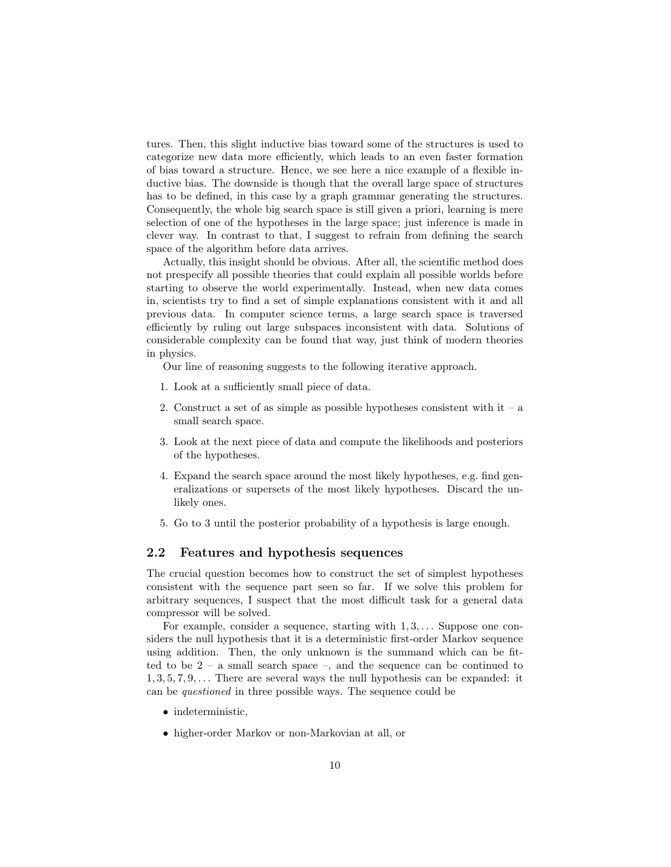tures. Then, this slight inductive bias toward some of the structures is used to categorize new data more efficiently, which leads to an even faster formation of bias toward a structure. Hence, we see here a nice example of a flexible inductive bias. The downside is though that the overall large space of structures has to be defined, in this case by a graph grammar generating the structures. Consequently, the whole big search space is still given a priori, learning is mere selection of one of the hypotheses in the large space; just inference is made in clever way. In contrast to that, I suggest to refrain from defining the search space of the algorithm before data arrives.

Actually, this insight should be obvious. After all, the scientific method does not prespecify all possible theories that could explain all possible worlds before starting to observe the world experimentally. Instead, when new data comes in, scientists try to find a set of simple explanations consistent with it and all previous data. In computer science terms, a large search space is traversed efficiently by ruling out large subspaces inconsistent with data. Solutions of considerable complexity can be found that way, just think of modern theories in physics.

Our line of reasoning suggests to the following iterative approach.

- 1. Look at a sufficiently small piece of data.
- 2. Construct a set of as simple as possible hypotheses consistent with  $it a$ small search space.
- 3. Look at the next piece of data and compute the likelihoods and posteriors of the hypotheses.
- 4. Expand the search space around the most likely hypotheses, e.g. find generalizations or supersets of the most likely hypotheses. Discard the unlikely ones.
- 5. Go to 3 until the posterior probability of a hypothesis is large enough.

#### <span id="page-9-0"></span>2.2 Features and hypothesis sequences

The crucial question becomes how to construct the set of simplest hypotheses consistent with the sequence part seen so far. If we solve this problem for arbitrary sequences, I suspect that the most difficult task for a general data compressor will be solved.

For example, consider a sequence, starting with  $1, 3, \ldots$  Suppose one considers the null hypothesis that it is a deterministic first-order Markov sequence using addition. Then, the only unknown is the summand which can be fitted to be  $2 - a$  small search space  $-$ , and the sequence can be continued to  $1, 3, 5, 7, 9, \ldots$  There are several ways the null hypothesis can be expanded: it can be questioned in three possible ways. The sequence could be

- indeterministic,
- higher-order Markov or non-Markovian at all, or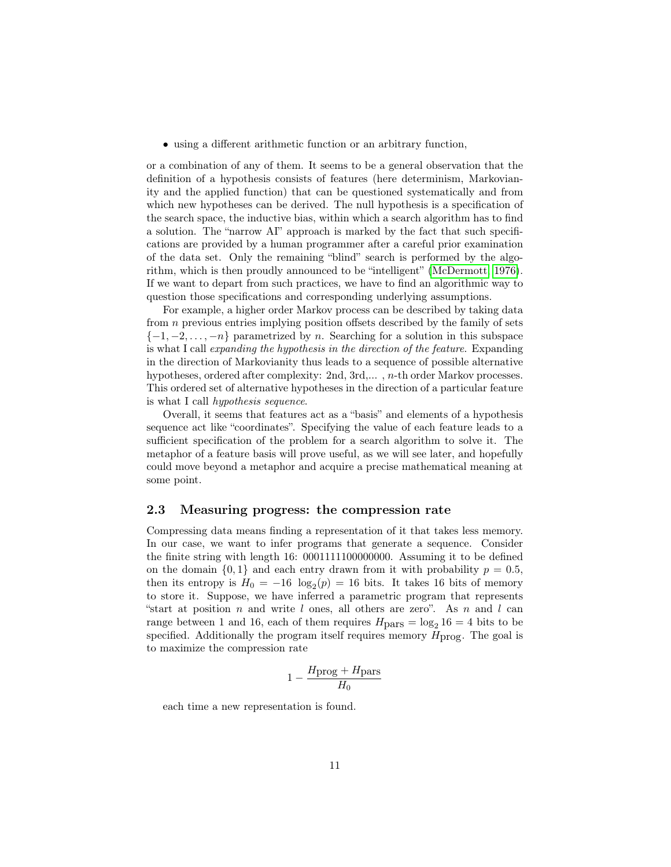• using a different arithmetic function or an arbitrary function,

or a combination of any of them. It seems to be a general observation that the definition of a hypothesis consists of features (here determinism, Markovianity and the applied function) that can be questioned systematically and from which new hypotheses can be derived. The null hypothesis is a specification of the search space, the inductive bias, within which a search algorithm has to find a solution. The "narrow AI" approach is marked by the fact that such specifications are provided by a human programmer after a careful prior examination of the data set. Only the remaining "blind" search is performed by the algorithm, which is then proudly announced to be "intelligent" [\(McDermott, 1976\)](#page-28-5). If we want to depart from such practices, we have to find an algorithmic way to question those specifications and corresponding underlying assumptions.

For example, a higher order Markov process can be described by taking data from n previous entries implying position offsets described by the family of sets  $\{-1, -2, \ldots, -n\}$  parametrized by n. Searching for a solution in this subspace is what I call expanding the hypothesis in the direction of the feature. Expanding in the direction of Markovianity thus leads to a sequence of possible alternative hypotheses, ordered after complexity: 2nd, 3rd,... , n-th order Markov processes. This ordered set of alternative hypotheses in the direction of a particular feature is what I call hypothesis sequence.

Overall, it seems that features act as a "basis" and elements of a hypothesis sequence act like "coordinates". Specifying the value of each feature leads to a sufficient specification of the problem for a search algorithm to solve it. The metaphor of a feature basis will prove useful, as we will see later, and hopefully could move beyond a metaphor and acquire a precise mathematical meaning at some point.

#### <span id="page-10-0"></span>2.3 Measuring progress: the compression rate

Compressing data means finding a representation of it that takes less memory. In our case, we want to infer programs that generate a sequence. Consider the finite string with length 16: 0001111100000000. Assuming it to be defined on the domain  $\{0, 1\}$  and each entry drawn from it with probability  $p = 0.5$ , then its entropy is  $H_0 = -16 \log_2(p) = 16$  bits. It takes 16 bits of memory to store it. Suppose, we have inferred a parametric program that represents "start at position n and write l ones, all others are zero". As n and l can range between 1 and 16, each of them requires  $H_{\text{pars}} = \log_2 16 = 4$  bits to be specified. Additionally the program itself requires memory  $H_{\text{prog}}$ . The goal is to maximize the compression rate

$$
1 - \frac{H_{\text{prog}} + H_{\text{pars}}}{H_0}
$$

each time a new representation is found.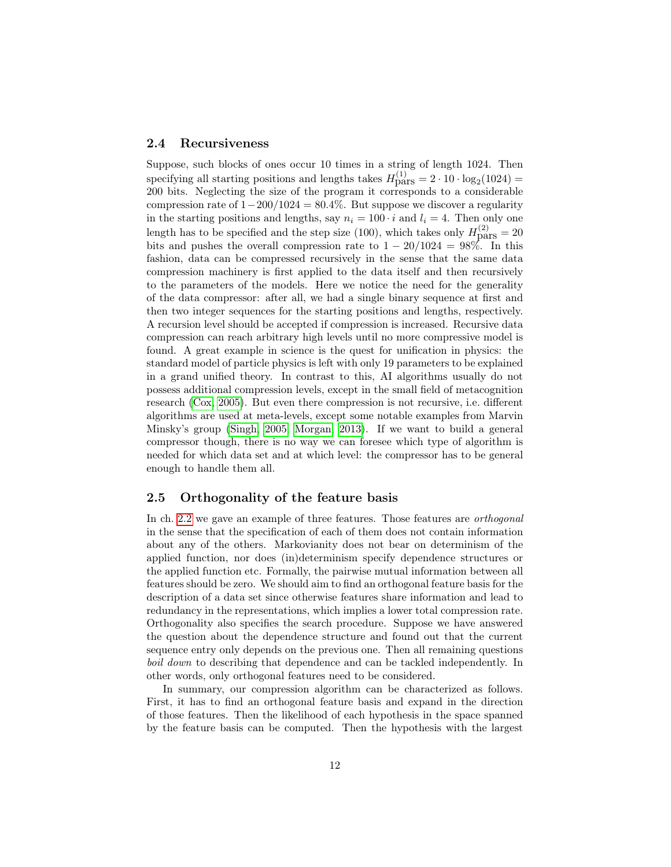#### <span id="page-11-0"></span>2.4 Recursiveness

Suppose, such blocks of ones occur 10 times in a string of length 1024. Then specifying all starting positions and lengths takes  $H_{\text{pars}}^{(1)} = 2 \cdot 10 \cdot \log_2(1024) =$ 200 bits. Neglecting the size of the program it corresponds to a considerable compression rate of  $1-200/1024 = 80.4\%$ . But suppose we discover a regularity in the starting positions and lengths, say  $n_i = 100 \cdot i$  and  $l_i = 4$ . Then only one length has to be specified and the step size (100), which takes only  $H_{\text{pars}}^{(2)} = 20$ bits and pushes the overall compression rate to  $1 - 20/1024 = 98\%$ . In this fashion, data can be compressed recursively in the sense that the same data compression machinery is first applied to the data itself and then recursively to the parameters of the models. Here we notice the need for the generality of the data compressor: after all, we had a single binary sequence at first and then two integer sequences for the starting positions and lengths, respectively. A recursion level should be accepted if compression is increased. Recursive data compression can reach arbitrary high levels until no more compressive model is found. A great example in science is the quest for unification in physics: the standard model of particle physics is left with only 19 parameters to be explained in a grand unified theory. In contrast to this, AI algorithms usually do not possess additional compression levels, except in the small field of metacognition research [\(Cox, 2005\)](#page-27-9). But even there compression is not recursive, i.e. different algorithms are used at meta-levels, except some notable examples from Marvin Minsky's group [\(Singh, 2005;](#page-28-6) [Morgan, 2013\)](#page-28-7). If we want to build a general compressor though, there is no way we can foresee which type of algorithm is needed for which data set and at which level: the compressor has to be general enough to handle them all.

#### <span id="page-11-1"></span>2.5 Orthogonality of the feature basis

In ch. [2.2](#page-9-0) we gave an example of three features. Those features are orthogonal in the sense that the specification of each of them does not contain information about any of the others. Markovianity does not bear on determinism of the applied function, nor does (in)determinism specify dependence structures or the applied function etc. Formally, the pairwise mutual information between all features should be zero. We should aim to find an orthogonal feature basis for the description of a data set since otherwise features share information and lead to redundancy in the representations, which implies a lower total compression rate. Orthogonality also specifies the search procedure. Suppose we have answered the question about the dependence structure and found out that the current sequence entry only depends on the previous one. Then all remaining questions boil down to describing that dependence and can be tackled independently. In other words, only orthogonal features need to be considered.

In summary, our compression algorithm can be characterized as follows. First, it has to find an orthogonal feature basis and expand in the direction of those features. Then the likelihood of each hypothesis in the space spanned by the feature basis can be computed. Then the hypothesis with the largest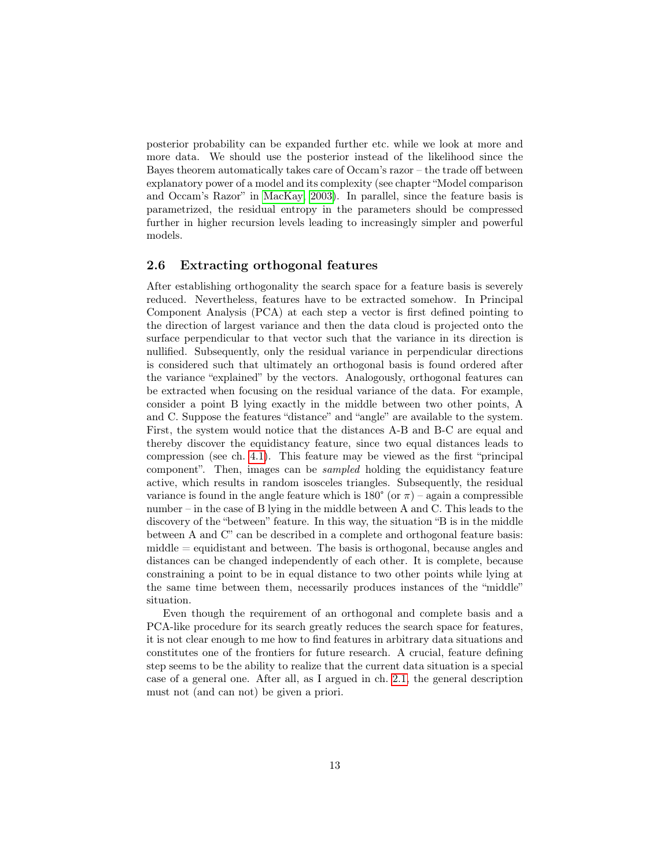posterior probability can be expanded further etc. while we look at more and more data. We should use the posterior instead of the likelihood since the Bayes theorem automatically takes care of Occam's razor – the trade off between explanatory power of a model and its complexity (see chapter "Model comparison and Occam's Razor" in [MacKay, 2003\)](#page-27-10). In parallel, since the feature basis is parametrized, the residual entropy in the parameters should be compressed further in higher recursion levels leading to increasingly simpler and powerful models.

#### <span id="page-12-0"></span>2.6 Extracting orthogonal features

After establishing orthogonality the search space for a feature basis is severely reduced. Nevertheless, features have to be extracted somehow. In Principal Component Analysis (PCA) at each step a vector is first defined pointing to the direction of largest variance and then the data cloud is projected onto the surface perpendicular to that vector such that the variance in its direction is nullified. Subsequently, only the residual variance in perpendicular directions is considered such that ultimately an orthogonal basis is found ordered after the variance "explained" by the vectors. Analogously, orthogonal features can be extracted when focusing on the residual variance of the data. For example, consider a point B lying exactly in the middle between two other points, A and C. Suppose the features "distance" and "angle" are available to the system. First, the system would notice that the distances A-B and B-C are equal and thereby discover the equidistancy feature, since two equal distances leads to compression (see ch. [4.1\)](#page-22-1). This feature may be viewed as the first "principal component". Then, images can be sampled holding the equidistancy feature active, which results in random isosceles triangles. Subsequently, the residual variance is found in the angle feature which is  $180^{\circ}$  (or  $\pi$ ) – again a compressible number – in the case of B lying in the middle between A and C. This leads to the discovery of the "between" feature. In this way, the situation "B is in the middle between A and C" can be described in a complete and orthogonal feature basis:  $midle =$  equidistant and between. The basis is orthogonal, because angles and distances can be changed independently of each other. It is complete, because constraining a point to be in equal distance to two other points while lying at the same time between them, necessarily produces instances of the "middle" situation.

Even though the requirement of an orthogonal and complete basis and a PCA-like procedure for its search greatly reduces the search space for features, it is not clear enough to me how to find features in arbitrary data situations and constitutes one of the frontiers for future research. A crucial, feature defining step seems to be the ability to realize that the current data situation is a special case of a general one. After all, as I argued in ch. [2.1,](#page-8-0) the general description must not (and can not) be given a priori.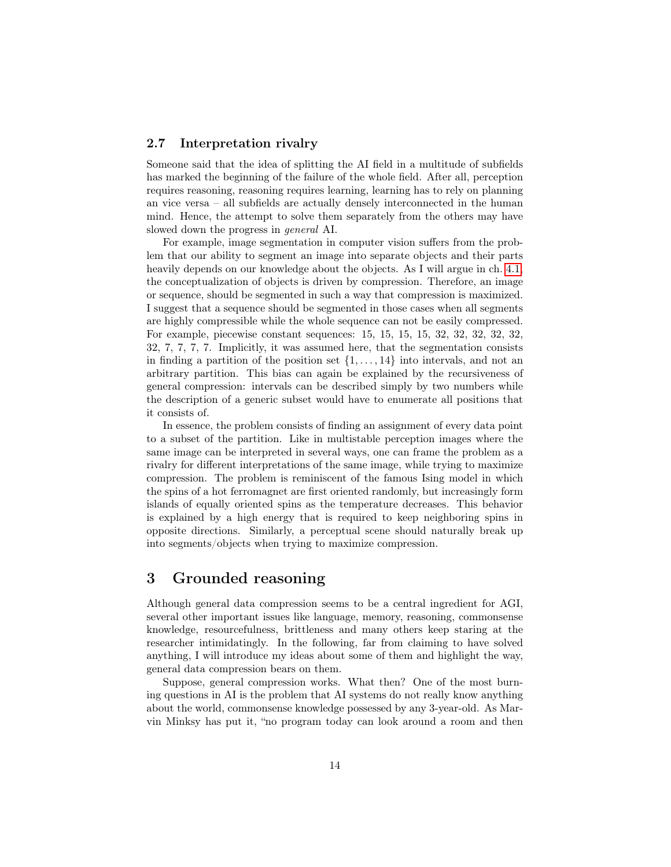#### <span id="page-13-0"></span>2.7 Interpretation rivalry

Someone said that the idea of splitting the AI field in a multitude of subfields has marked the beginning of the failure of the whole field. After all, perception requires reasoning, reasoning requires learning, learning has to rely on planning an vice versa – all subfields are actually densely interconnected in the human mind. Hence, the attempt to solve them separately from the others may have slowed down the progress in general AI.

For example, image segmentation in computer vision suffers from the problem that our ability to segment an image into separate objects and their parts heavily depends on our knowledge about the objects. As I will argue in ch. [4.1,](#page-22-1) the conceptualization of objects is driven by compression. Therefore, an image or sequence, should be segmented in such a way that compression is maximized. I suggest that a sequence should be segmented in those cases when all segments are highly compressible while the whole sequence can not be easily compressed. For example, piecewise constant sequences: 15, 15, 15, 15, 32, 32, 32, 32, 32, 32, 7, 7, 7, 7. Implicitly, it was assumed here, that the segmentation consists in finding a partition of the position set  $\{1, \ldots, 14\}$  into intervals, and not an arbitrary partition. This bias can again be explained by the recursiveness of general compression: intervals can be described simply by two numbers while the description of a generic subset would have to enumerate all positions that it consists of.

In essence, the problem consists of finding an assignment of every data point to a subset of the partition. Like in multistable perception images where the same image can be interpreted in several ways, one can frame the problem as a rivalry for different interpretations of the same image, while trying to maximize compression. The problem is reminiscent of the famous Ising model in which the spins of a hot ferromagnet are first oriented randomly, but increasingly form islands of equally oriented spins as the temperature decreases. This behavior is explained by a high energy that is required to keep neighboring spins in opposite directions. Similarly, a perceptual scene should naturally break up into segments/objects when trying to maximize compression.

## <span id="page-13-1"></span>3 Grounded reasoning

Although general data compression seems to be a central ingredient for AGI, several other important issues like language, memory, reasoning, commonsense knowledge, resourcefulness, brittleness and many others keep staring at the researcher intimidatingly. In the following, far from claiming to have solved anything, I will introduce my ideas about some of them and highlight the way, general data compression bears on them.

Suppose, general compression works. What then? One of the most burning questions in AI is the problem that AI systems do not really know anything about the world, commonsense knowledge possessed by any 3-year-old. As Marvin Minksy has put it, "no program today can look around a room and then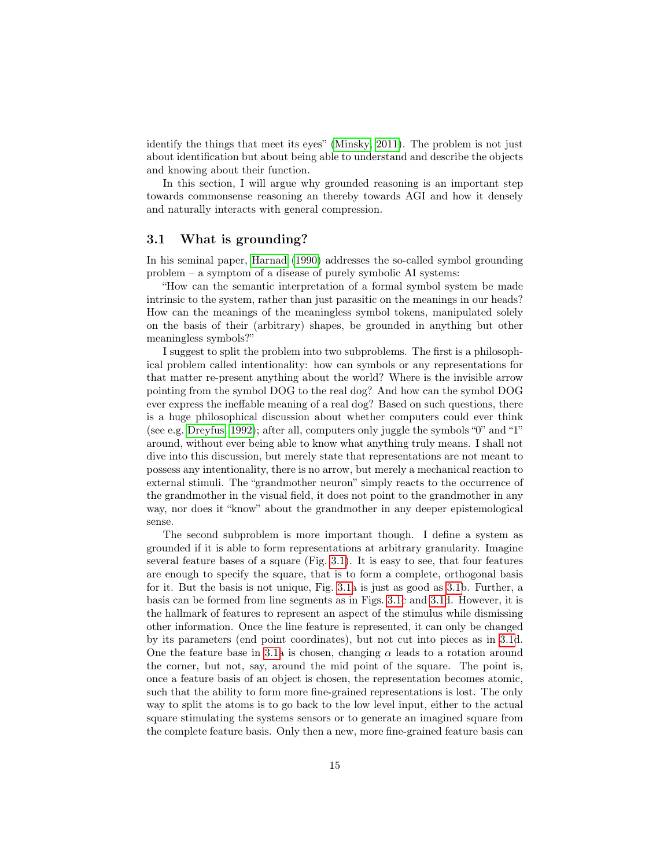identify the things that meet its eyes" [\(Minsky, 2011\)](#page-28-8). The problem is not just about identification but about being able to understand and describe the objects and knowing about their function.

In this section, I will argue why grounded reasoning is an important step towards commonsense reasoning an thereby towards AGI and how it densely and naturally interacts with general compression.

#### <span id="page-14-0"></span>3.1 What is grounding?

In his seminal paper, [Harnad](#page-27-11) [\(1990\)](#page-27-11) addresses the so-called symbol grounding problem – a symptom of a disease of purely symbolic AI systems:

"How can the semantic interpretation of a formal symbol system be made intrinsic to the system, rather than just parasitic on the meanings in our heads? How can the meanings of the meaningless symbol tokens, manipulated solely on the basis of their (arbitrary) shapes, be grounded in anything but other meaningless symbols?"

I suggest to split the problem into two subproblems. The first is a philosophical problem called intentionality: how can symbols or any representations for that matter re-present anything about the world? Where is the invisible arrow pointing from the symbol DOG to the real dog? And how can the symbol DOG ever express the ineffable meaning of a real dog? Based on such questions, there is a huge philosophical discussion about whether computers could ever think (see e.g. [Dreyfus, 1992\)](#page-27-5); after all, computers only juggle the symbols "0" and "1" around, without ever being able to know what anything truly means. I shall not dive into this discussion, but merely state that representations are not meant to possess any intentionality, there is no arrow, but merely a mechanical reaction to external stimuli. The "grandmother neuron" simply reacts to the occurrence of the grandmother in the visual field, it does not point to the grandmother in any way, nor does it "know" about the grandmother in any deeper epistemological sense.

The second subproblem is more important though. I define a system as grounded if it is able to form representations at arbitrary granularity. Imagine several feature bases of a square (Fig. [3.1\)](#page-4-0). It is easy to see, that four features are enough to specify the square, that is to form a complete, orthogonal basis for it. But the basis is not unique, Fig. [3.1a](#page-4-0) is just as good as [3.1b](#page-4-0). Further, a basis can be formed from line segments as in Figs. [3.1c](#page-4-0) and [3.1d](#page-4-0). However, it is the hallmark of features to represent an aspect of the stimulus while dismissing other information. Once the line feature is represented, it can only be changed by its parameters (end point coordinates), but not cut into pieces as in [3.1d](#page-4-0). One the feature base in [3.1a](#page-4-0) is chosen, changing  $\alpha$  leads to a rotation around the corner, but not, say, around the mid point of the square. The point is, once a feature basis of an object is chosen, the representation becomes atomic, such that the ability to form more fine-grained representations is lost. The only way to split the atoms is to go back to the low level input, either to the actual square stimulating the systems sensors or to generate an imagined square from the complete feature basis. Only then a new, more fine-grained feature basis can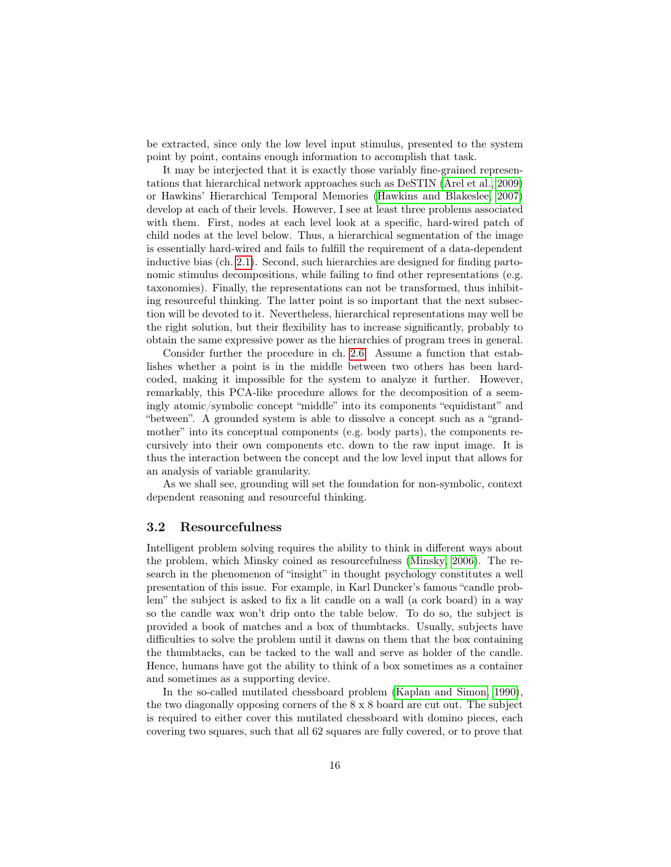be extracted, since only the low level input stimulus, presented to the system point by point, contains enough information to accomplish that task.

It may be interjected that it is exactly those variably fine-grained representations that hierarchical network approaches such as DeSTIN [\(Arel et al., 2009\)](#page-26-2) or Hawkins' Hierarchical Temporal Memories [\(Hawkins and Blakeslee, 2007\)](#page-27-12) develop at each of their levels. However, I see at least three problems associated with them. First, nodes at each level look at a specific, hard-wired patch of child nodes at the level below. Thus, a hierarchical segmentation of the image is essentially hard-wired and fails to fulfill the requirement of a data-dependent inductive bias (ch. [2.1\)](#page-8-0). Second, such hierarchies are designed for finding partonomic stimulus decompositions, while failing to find other representations (e.g. taxonomies). Finally, the representations can not be transformed, thus inhibiting resourceful thinking. The latter point is so important that the next subsection will be devoted to it. Nevertheless, hierarchical representations may well be the right solution, but their flexibility has to increase significantly, probably to obtain the same expressive power as the hierarchies of program trees in general.

Consider further the procedure in ch. [2.6.](#page-12-0) Assume a function that establishes whether a point is in the middle between two others has been hardcoded, making it impossible for the system to analyze it further. However, remarkably, this PCA-like procedure allows for the decomposition of a seemingly atomic/symbolic concept "middle" into its components "equidistant" and "between". A grounded system is able to dissolve a concept such as a "grandmother" into its conceptual components (e.g. body parts), the components recursively into their own components etc. down to the raw input image. It is thus the interaction between the concept and the low level input that allows for an analysis of variable granularity.

As we shall see, grounding will set the foundation for non-symbolic, context dependent reasoning and resourceful thinking.

#### <span id="page-15-0"></span>3.2 Resourcefulness

Intelligent problem solving requires the ability to think in different ways about the problem, which Minsky coined as resourcefulness [\(Minsky, 2006\)](#page-28-9). The research in the phenomenon of "insight" in thought psychology constitutes a well presentation of this issue. For example, in Karl Duncker's famous "candle problem" the subject is asked to fix a lit candle on a wall (a cork board) in a way so the candle wax won't drip onto the table below. To do so, the subject is provided a book of matches and a box of thumbtacks. Usually, subjects have difficulties to solve the problem until it dawns on them that the box containing the thumbtacks, can be tacked to the wall and serve as holder of the candle. Hence, humans have got the ability to think of a box sometimes as a container and sometimes as a supporting device.

In the so-called mutilated chessboard problem [\(Kaplan and Simon, 1990\)](#page-27-13), the two diagonally opposing corners of the 8 x 8 board are cut out. The subject is required to either cover this mutilated chessboard with domino pieces, each covering two squares, such that all 62 squares are fully covered, or to prove that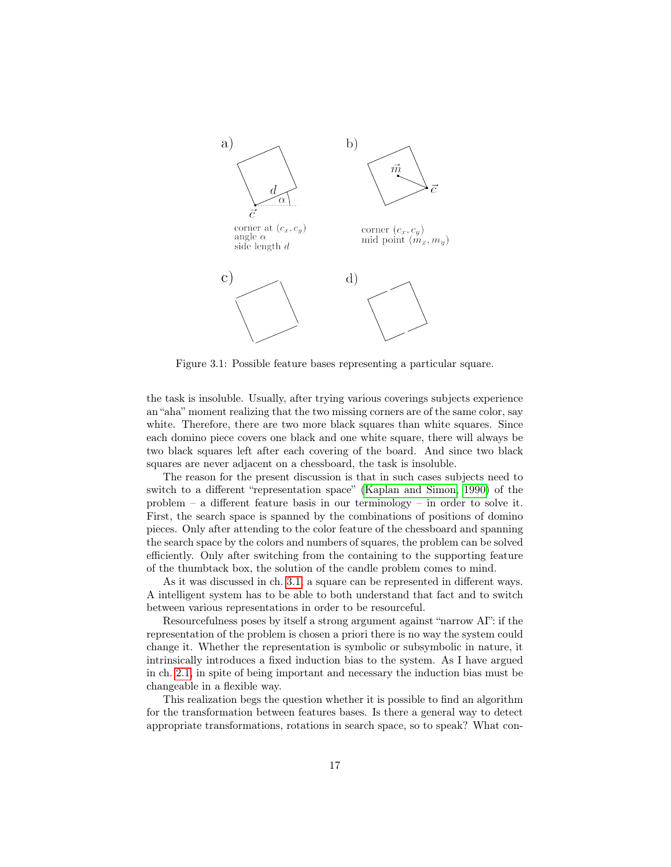

Figure 3.1: Possible feature bases representing a particular square.

the task is insoluble. Usually, after trying various coverings subjects experience an "aha" moment realizing that the two missing corners are of the same color, say white. Therefore, there are two more black squares than white squares. Since each domino piece covers one black and one white square, there will always be two black squares left after each covering of the board. And since two black squares are never adjacent on a chessboard, the task is insoluble.

The reason for the present discussion is that in such cases subjects need to switch to a different "representation space" [\(Kaplan and Simon, 1990\)](#page-27-13) of the problem – a different feature basis in our terminology – in order to solve it. First, the search space is spanned by the combinations of positions of domino pieces. Only after attending to the color feature of the chessboard and spanning the search space by the colors and numbers of squares, the problem can be solved efficiently. Only after switching from the containing to the supporting feature of the thumbtack box, the solution of the candle problem comes to mind.

As it was discussed in ch. [3.1,](#page-14-0) a square can be represented in different ways. A intelligent system has to be able to both understand that fact and to switch between various representations in order to be resourceful.

Resourcefulness poses by itself a strong argument against "narrow AI": if the representation of the problem is chosen a priori there is no way the system could change it. Whether the representation is symbolic or subsymbolic in nature, it intrinsically introduces a fixed induction bias to the system. As I have argued in ch. [2.1,](#page-8-0) in spite of being important and necessary the induction bias must be changeable in a flexible way.

This realization begs the question whether it is possible to find an algorithm for the transformation between features bases. Is there a general way to detect appropriate transformations, rotations in search space, so to speak? What con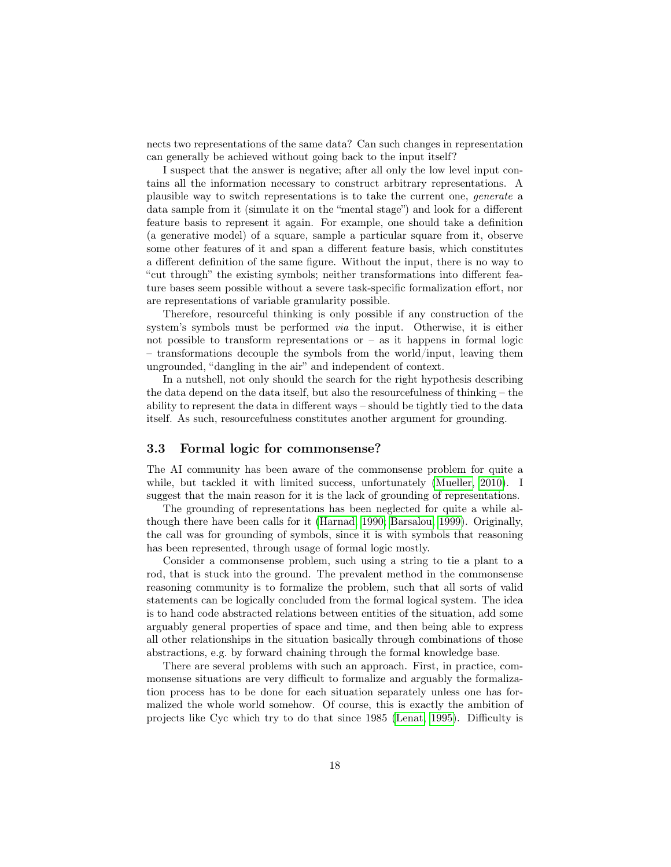nects two representations of the same data? Can such changes in representation can generally be achieved without going back to the input itself?

I suspect that the answer is negative; after all only the low level input contains all the information necessary to construct arbitrary representations. A plausible way to switch representations is to take the current one, generate a data sample from it (simulate it on the "mental stage") and look for a different feature basis to represent it again. For example, one should take a definition (a generative model) of a square, sample a particular square from it, observe some other features of it and span a different feature basis, which constitutes a different definition of the same figure. Without the input, there is no way to "cut through" the existing symbols; neither transformations into different feature bases seem possible without a severe task-specific formalization effort, nor are representations of variable granularity possible.

Therefore, resourceful thinking is only possible if any construction of the system's symbols must be performed via the input. Otherwise, it is either not possible to transform representations or  $-$  as it happens in formal logic – transformations decouple the symbols from the world/input, leaving them ungrounded, "dangling in the air" and independent of context.

In a nutshell, not only should the search for the right hypothesis describing the data depend on the data itself, but also the resourcefulness of thinking – the ability to represent the data in different ways – should be tightly tied to the data itself. As such, resourcefulness constitutes another argument for grounding.

#### <span id="page-17-0"></span>3.3 Formal logic for commonsense?

The AI community has been aware of the commonsense problem for quite a while, but tackled it with limited success, unfortunately [\(Mueller, 2010\)](#page-28-10). I suggest that the main reason for it is the lack of grounding of representations.

The grounding of representations has been neglected for quite a while although there have been calls for it [\(Harnad, 1990;](#page-27-11) [Barsalou, 1999\)](#page-26-3). Originally, the call was for grounding of symbols, since it is with symbols that reasoning has been represented, through usage of formal logic mostly.

Consider a commonsense problem, such using a string to tie a plant to a rod, that is stuck into the ground. The prevalent method in the commonsense reasoning community is to formalize the problem, such that all sorts of valid statements can be logically concluded from the formal logical system. The idea is to hand code abstracted relations between entities of the situation, add some arguably general properties of space and time, and then being able to express all other relationships in the situation basically through combinations of those abstractions, e.g. by forward chaining through the formal knowledge base.

There are several problems with such an approach. First, in practice, commonsense situations are very difficult to formalize and arguably the formalization process has to be done for each situation separately unless one has formalized the whole world somehow. Of course, this is exactly the ambition of projects like Cyc which try to do that since 1985 [\(Lenat, 1995\)](#page-27-14). Difficulty is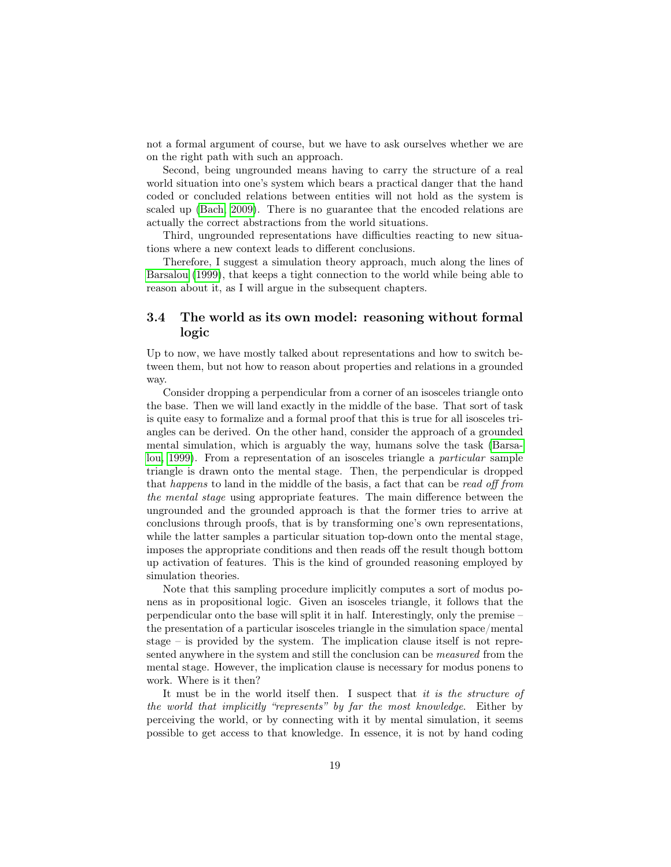not a formal argument of course, but we have to ask ourselves whether we are on the right path with such an approach.

Second, being ungrounded means having to carry the structure of a real world situation into one's system which bears a practical danger that the hand coded or concluded relations between entities will not hold as the system is scaled up [\(Bach, 2009\)](#page-26-4). There is no guarantee that the encoded relations are actually the correct abstractions from the world situations.

Third, ungrounded representations have difficulties reacting to new situations where a new context leads to different conclusions.

Therefore, I suggest a simulation theory approach, much along the lines of [Barsalou](#page-26-3) [\(1999\)](#page-26-3), that keeps a tight connection to the world while being able to reason about it, as I will argue in the subsequent chapters.

#### <span id="page-18-0"></span>3.4 The world as its own model: reasoning without formal logic

Up to now, we have mostly talked about representations and how to switch between them, but not how to reason about properties and relations in a grounded way.

Consider dropping a perpendicular from a corner of an isosceles triangle onto the base. Then we will land exactly in the middle of the base. That sort of task is quite easy to formalize and a formal proof that this is true for all isosceles triangles can be derived. On the other hand, consider the approach of a grounded mental simulation, which is arguably the way, humans solve the task [\(Barsa](#page-26-3)[lou, 1999\)](#page-26-3). From a representation of an isosceles triangle a particular sample triangle is drawn onto the mental stage. Then, the perpendicular is dropped that happens to land in the middle of the basis, a fact that can be read off from the mental stage using appropriate features. The main difference between the ungrounded and the grounded approach is that the former tries to arrive at conclusions through proofs, that is by transforming one's own representations, while the latter samples a particular situation top-down onto the mental stage, imposes the appropriate conditions and then reads off the result though bottom up activation of features. This is the kind of grounded reasoning employed by simulation theories.

Note that this sampling procedure implicitly computes a sort of modus ponens as in propositional logic. Given an isosceles triangle, it follows that the perpendicular onto the base will split it in half. Interestingly, only the premise – the presentation of a particular isosceles triangle in the simulation space/mental stage – is provided by the system. The implication clause itself is not represented anywhere in the system and still the conclusion can be measured from the mental stage. However, the implication clause is necessary for modus ponens to work. Where is it then?

It must be in the world itself then. I suspect that it is the structure of the world that implicitly "represents" by far the most knowledge. Either by perceiving the world, or by connecting with it by mental simulation, it seems possible to get access to that knowledge. In essence, it is not by hand coding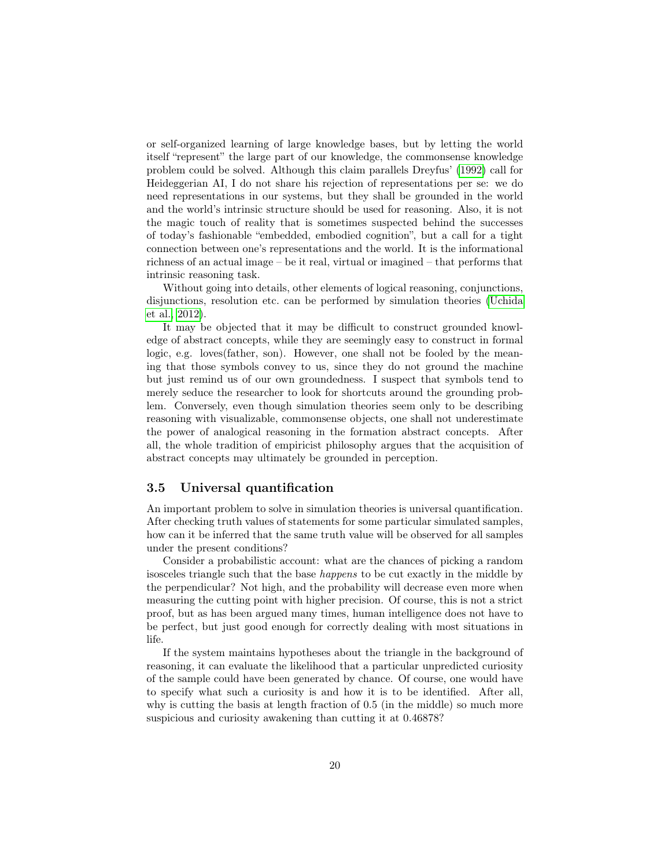or self-organized learning of large knowledge bases, but by letting the world itself "represent" the large part of our knowledge, the commonsense knowledge problem could be solved. Although this claim parallels Dreyfus' [\(1992\)](#page-27-5) call for Heideggerian AI, I do not share his rejection of representations per se: we do need representations in our systems, but they shall be grounded in the world and the world's intrinsic structure should be used for reasoning. Also, it is not the magic touch of reality that is sometimes suspected behind the successes of today's fashionable "embedded, embodied cognition", but a call for a tight connection between one's representations and the world. It is the informational richness of an actual image – be it real, virtual or imagined – that performs that intrinsic reasoning task.

Without going into details, other elements of logical reasoning, conjunctions, disjunctions, resolution etc. can be performed by simulation theories [\(Uchida](#page-28-11) [et al., 2012\)](#page-28-11).

It may be objected that it may be difficult to construct grounded knowledge of abstract concepts, while they are seemingly easy to construct in formal logic, e.g. loves(father, son). However, one shall not be fooled by the meaning that those symbols convey to us, since they do not ground the machine but just remind us of our own groundedness. I suspect that symbols tend to merely seduce the researcher to look for shortcuts around the grounding problem. Conversely, even though simulation theories seem only to be describing reasoning with visualizable, commonsense objects, one shall not underestimate the power of analogical reasoning in the formation abstract concepts. After all, the whole tradition of empiricist philosophy argues that the acquisition of abstract concepts may ultimately be grounded in perception.

#### <span id="page-19-0"></span>3.5 Universal quantification

An important problem to solve in simulation theories is universal quantification. After checking truth values of statements for some particular simulated samples, how can it be inferred that the same truth value will be observed for all samples under the present conditions?

Consider a probabilistic account: what are the chances of picking a random isosceles triangle such that the base happens to be cut exactly in the middle by the perpendicular? Not high, and the probability will decrease even more when measuring the cutting point with higher precision. Of course, this is not a strict proof, but as has been argued many times, human intelligence does not have to be perfect, but just good enough for correctly dealing with most situations in life.

If the system maintains hypotheses about the triangle in the background of reasoning, it can evaluate the likelihood that a particular unpredicted curiosity of the sample could have been generated by chance. Of course, one would have to specify what such a curiosity is and how it is to be identified. After all, why is cutting the basis at length fraction of 0.5 (in the middle) so much more suspicious and curiosity awakening than cutting it at 0.46878?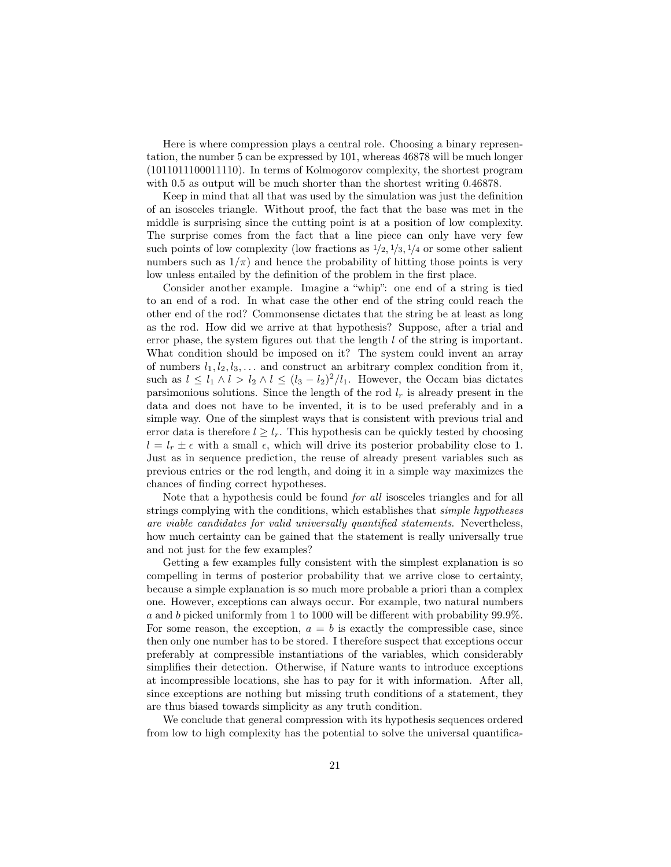Here is where compression plays a central role. Choosing a binary representation, the number 5 can be expressed by 101, whereas 46878 will be much longer (1011011100011110). In terms of Kolmogorov complexity, the shortest program with 0.5 as output will be much shorter than the shortest writing 0.46878.

Keep in mind that all that was used by the simulation was just the definition of an isosceles triangle. Without proof, the fact that the base was met in the middle is surprising since the cutting point is at a position of low complexity. The surprise comes from the fact that a line piece can only have very few such points of low complexity (low fractions as  $\frac{1}{2}$ ,  $\frac{1}{3}$ ,  $\frac{1}{4}$  or some other salient numbers such as  $1/\pi$ ) and hence the probability of hitting those points is very low unless entailed by the definition of the problem in the first place.

Consider another example. Imagine a "whip": one end of a string is tied to an end of a rod. In what case the other end of the string could reach the other end of the rod? Commonsense dictates that the string be at least as long as the rod. How did we arrive at that hypothesis? Suppose, after a trial and error phase, the system figures out that the length l of the string is important. What condition should be imposed on it? The system could invent an array of numbers  $l_1, l_2, l_3, \ldots$  and construct an arbitrary complex condition from it, such as  $l \leq l_1 \wedge l > l_2 \wedge l \leq (l_3 - l_2)^2 / l_1$ . However, the Occam bias dictates parsimonious solutions. Since the length of the rod  $l_r$  is already present in the data and does not have to be invented, it is to be used preferably and in a simple way. One of the simplest ways that is consistent with previous trial and error data is therefore  $l \geq l_r$ . This hypothesis can be quickly tested by choosing  $l = l_r \pm \epsilon$  with a small  $\epsilon$ , which will drive its posterior probability close to 1. Just as in sequence prediction, the reuse of already present variables such as previous entries or the rod length, and doing it in a simple way maximizes the chances of finding correct hypotheses.

Note that a hypothesis could be found for all isosceles triangles and for all strings complying with the conditions, which establishes that simple hypotheses are viable candidates for valid universally quantified statements. Nevertheless, how much certainty can be gained that the statement is really universally true and not just for the few examples?

Getting a few examples fully consistent with the simplest explanation is so compelling in terms of posterior probability that we arrive close to certainty, because a simple explanation is so much more probable a priori than a complex one. However, exceptions can always occur. For example, two natural numbers a and b picked uniformly from 1 to 1000 will be different with probability 99.9%. For some reason, the exception,  $a = b$  is exactly the compressible case, since then only one number has to be stored. I therefore suspect that exceptions occur preferably at compressible instantiations of the variables, which considerably simplifies their detection. Otherwise, if Nature wants to introduce exceptions at incompressible locations, she has to pay for it with information. After all, since exceptions are nothing but missing truth conditions of a statement, they are thus biased towards simplicity as any truth condition.

We conclude that general compression with its hypothesis sequences ordered from low to high complexity has the potential to solve the universal quantifica-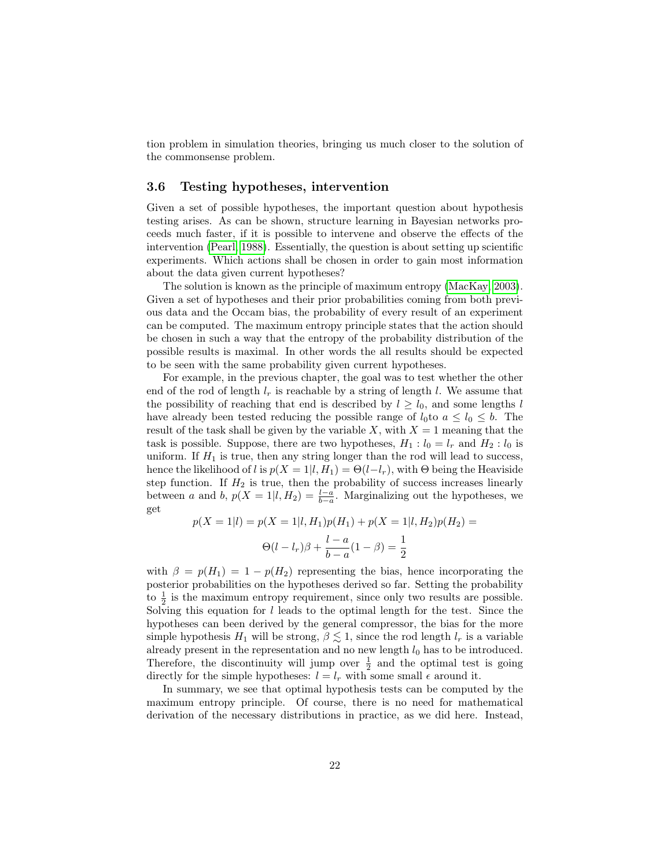tion problem in simulation theories, bringing us much closer to the solution of the commonsense problem.

#### <span id="page-21-0"></span>3.6 Testing hypotheses, intervention

Given a set of possible hypotheses, the important question about hypothesis testing arises. As can be shown, structure learning in Bayesian networks proceeds much faster, if it is possible to intervene and observe the effects of the intervention [\(Pearl, 1988\)](#page-28-12). Essentially, the question is about setting up scientific experiments. Which actions shall be chosen in order to gain most information about the data given current hypotheses?

The solution is known as the principle of maximum entropy [\(MacKay, 2003\)](#page-27-10). Given a set of hypotheses and their prior probabilities coming from both previous data and the Occam bias, the probability of every result of an experiment can be computed. The maximum entropy principle states that the action should be chosen in such a way that the entropy of the probability distribution of the possible results is maximal. In other words the all results should be expected to be seen with the same probability given current hypotheses.

For example, in the previous chapter, the goal was to test whether the other end of the rod of length  $l_r$  is reachable by a string of length  $l$ . We assume that the possibility of reaching that end is described by  $l \geq l_0$ , and some lengths l have already been tested reducing the possible range of  $l_0$  to  $a \leq l_0 \leq b$ . The result of the task shall be given by the variable X, with  $X = 1$  meaning that the task is possible. Suppose, there are two hypotheses,  $H_1: l_0 = l_r$  and  $H_2: l_0$  is uniform. If  $H_1$  is true, then any string longer than the rod will lead to success, hence the likelihood of l is  $p(X = 1|l, H_1) = \Theta(l-l_r)$ , with  $\Theta$  being the Heaviside step function. If  $H_2$  is true, then the probability of success increases linearly between a and b,  $p(X = 1 | l, H_2) = \frac{l-a}{b-a}$ . Marginalizing out the hypotheses, we get

$$
p(X = 1|l) = p(X = 1|l, H_1)p(H_1) + p(X = 1|l, H_2)p(H_2) =
$$
  

$$
\Theta(l - l_r)\beta + \frac{l - a}{b - a}(1 - \beta) = \frac{1}{2}
$$

with  $\beta = p(H_1) = 1 - p(H_2)$  representing the bias, hence incorporating the posterior probabilities on the hypotheses derived so far. Setting the probability to  $\frac{1}{2}$  is the maximum entropy requirement, since only two results are possible. Solving this equation for  $l$  leads to the optimal length for the test. Since the hypotheses can been derived by the general compressor, the bias for the more simple hypothesis  $H_1$  will be strong,  $\beta \lesssim 1$ , since the rod length  $l_r$  is a variable already present in the representation and no new length  $l_0$  has to be introduced. Therefore, the discontinuity will jump over  $\frac{1}{2}$  and the optimal test is going directly for the simple hypotheses:  $l = l_r$  with some small  $\epsilon$  around it.

In summary, we see that optimal hypothesis tests can be computed by the maximum entropy principle. Of course, there is no need for mathematical derivation of the necessary distributions in practice, as we did here. Instead,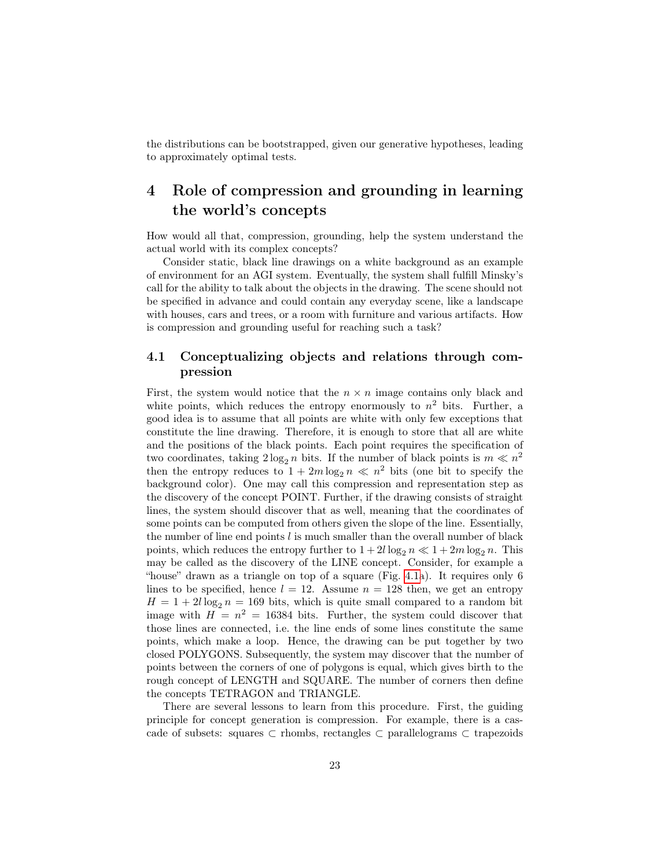the distributions can be bootstrapped, given our generative hypotheses, leading to approximately optimal tests.

## <span id="page-22-0"></span>4 Role of compression and grounding in learning the world's concepts

How would all that, compression, grounding, help the system understand the actual world with its complex concepts?

Consider static, black line drawings on a white background as an example of environment for an AGI system. Eventually, the system shall fulfill Minsky's call for the ability to talk about the objects in the drawing. The scene should not be specified in advance and could contain any everyday scene, like a landscape with houses, cars and trees, or a room with furniture and various artifacts. How is compression and grounding useful for reaching such a task?

#### <span id="page-22-1"></span>4.1 Conceptualizing objects and relations through compression

First, the system would notice that the  $n \times n$  image contains only black and white points, which reduces the entropy enormously to  $n^2$  bits. Further, a good idea is to assume that all points are white with only few exceptions that constitute the line drawing. Therefore, it is enough to store that all are white and the positions of the black points. Each point requires the specification of two coordinates, taking  $2\log_2 n$  bits. If the number of black points is  $m \ll n^2$ then the entropy reduces to  $1 + 2m \log_2 n \ll n^2$  bits (one bit to specify the background color). One may call this compression and representation step as the discovery of the concept POINT. Further, if the drawing consists of straight lines, the system should discover that as well, meaning that the coordinates of some points can be computed from others given the slope of the line. Essentially, the number of line end points l is much smaller than the overall number of black points, which reduces the entropy further to  $1 + 2l \log_2 n \ll 1 + 2m \log_2 n$ . This may be called as the discovery of the LINE concept. Consider, for example a "house" drawn as a triangle on top of a square (Fig. [4.1a](#page-4-0)). It requires only 6 lines to be specified, hence  $l = 12$ . Assume  $n = 128$  then, we get an entropy  $H = 1 + 2l \log_2 n = 169$  bits, which is quite small compared to a random bit image with  $H = n^2 = 16384$  bits. Further, the system could discover that those lines are connected, i.e. the line ends of some lines constitute the same points, which make a loop. Hence, the drawing can be put together by two closed POLYGONS. Subsequently, the system may discover that the number of points between the corners of one of polygons is equal, which gives birth to the rough concept of LENGTH and SQUARE. The number of corners then define the concepts TETRAGON and TRIANGLE.

There are several lessons to learn from this procedure. First, the guiding principle for concept generation is compression. For example, there is a cascade of subsets: squares ⊂ rhombs, rectangles ⊂ parallelograms ⊂ trapezoids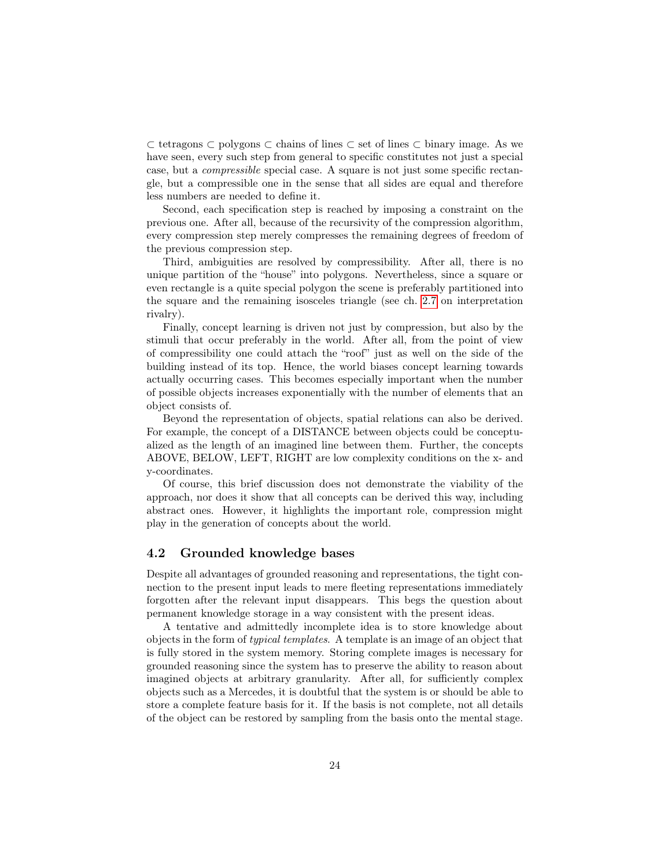⊂ tetragons ⊂ polygons ⊂ chains of lines ⊂ set of lines ⊂ binary image. As we have seen, every such step from general to specific constitutes not just a special case, but a compressible special case. A square is not just some specific rectangle, but a compressible one in the sense that all sides are equal and therefore less numbers are needed to define it.

Second, each specification step is reached by imposing a constraint on the previous one. After all, because of the recursivity of the compression algorithm, every compression step merely compresses the remaining degrees of freedom of the previous compression step.

Third, ambiguities are resolved by compressibility. After all, there is no unique partition of the "house" into polygons. Nevertheless, since a square or even rectangle is a quite special polygon the scene is preferably partitioned into the square and the remaining isosceles triangle (see ch. [2.7](#page-13-0) on interpretation rivalry).

Finally, concept learning is driven not just by compression, but also by the stimuli that occur preferably in the world. After all, from the point of view of compressibility one could attach the "roof" just as well on the side of the building instead of its top. Hence, the world biases concept learning towards actually occurring cases. This becomes especially important when the number of possible objects increases exponentially with the number of elements that an object consists of.

Beyond the representation of objects, spatial relations can also be derived. For example, the concept of a DISTANCE between objects could be conceptualized as the length of an imagined line between them. Further, the concepts ABOVE, BELOW, LEFT, RIGHT are low complexity conditions on the x- and y-coordinates.

Of course, this brief discussion does not demonstrate the viability of the approach, nor does it show that all concepts can be derived this way, including abstract ones. However, it highlights the important role, compression might play in the generation of concepts about the world.

#### <span id="page-23-0"></span>4.2 Grounded knowledge bases

Despite all advantages of grounded reasoning and representations, the tight connection to the present input leads to mere fleeting representations immediately forgotten after the relevant input disappears. This begs the question about permanent knowledge storage in a way consistent with the present ideas.

A tentative and admittedly incomplete idea is to store knowledge about objects in the form of typical templates. A template is an image of an object that is fully stored in the system memory. Storing complete images is necessary for grounded reasoning since the system has to preserve the ability to reason about imagined objects at arbitrary granularity. After all, for sufficiently complex objects such as a Mercedes, it is doubtful that the system is or should be able to store a complete feature basis for it. If the basis is not complete, not all details of the object can be restored by sampling from the basis onto the mental stage.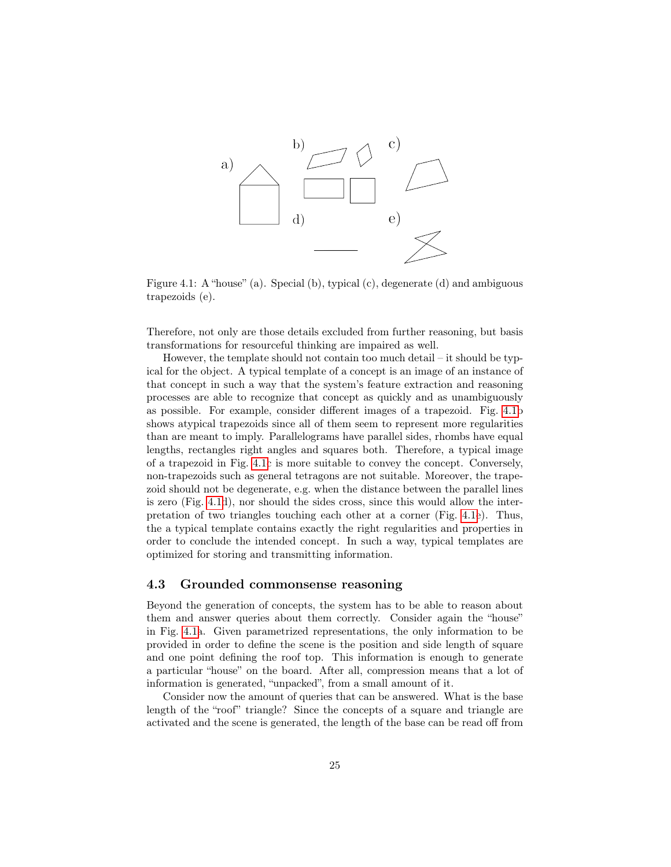

Figure 4.1: A "house" (a). Special (b), typical (c), degenerate (d) and ambiguous trapezoids (e).

Therefore, not only are those details excluded from further reasoning, but basis transformations for resourceful thinking are impaired as well.

However, the template should not contain too much detail – it should be typical for the object. A typical template of a concept is an image of an instance of that concept in such a way that the system's feature extraction and reasoning processes are able to recognize that concept as quickly and as unambiguously as possible. For example, consider different images of a trapezoid. Fig. [4.1b](#page-4-0) shows atypical trapezoids since all of them seem to represent more regularities than are meant to imply. Parallelograms have parallel sides, rhombs have equal lengths, rectangles right angles and squares both. Therefore, a typical image of a trapezoid in Fig. [4.1c](#page-4-0) is more suitable to convey the concept. Conversely, non-trapezoids such as general tetragons are not suitable. Moreover, the trapezoid should not be degenerate, e.g. when the distance between the parallel lines is zero (Fig. [4.1d](#page-4-0)), nor should the sides cross, since this would allow the interpretation of two triangles touching each other at a corner (Fig. [4.1e](#page-4-0)). Thus, the a typical template contains exactly the right regularities and properties in order to conclude the intended concept. In such a way, typical templates are optimized for storing and transmitting information.

#### <span id="page-24-0"></span>4.3 Grounded commonsense reasoning

Beyond the generation of concepts, the system has to be able to reason about them and answer queries about them correctly. Consider again the "house" in Fig. [4.1a](#page-4-0). Given parametrized representations, the only information to be provided in order to define the scene is the position and side length of square and one point defining the roof top. This information is enough to generate a particular "house" on the board. After all, compression means that a lot of information is generated, "unpacked", from a small amount of it.

Consider now the amount of queries that can be answered. What is the base length of the "roof" triangle? Since the concepts of a square and triangle are activated and the scene is generated, the length of the base can be read off from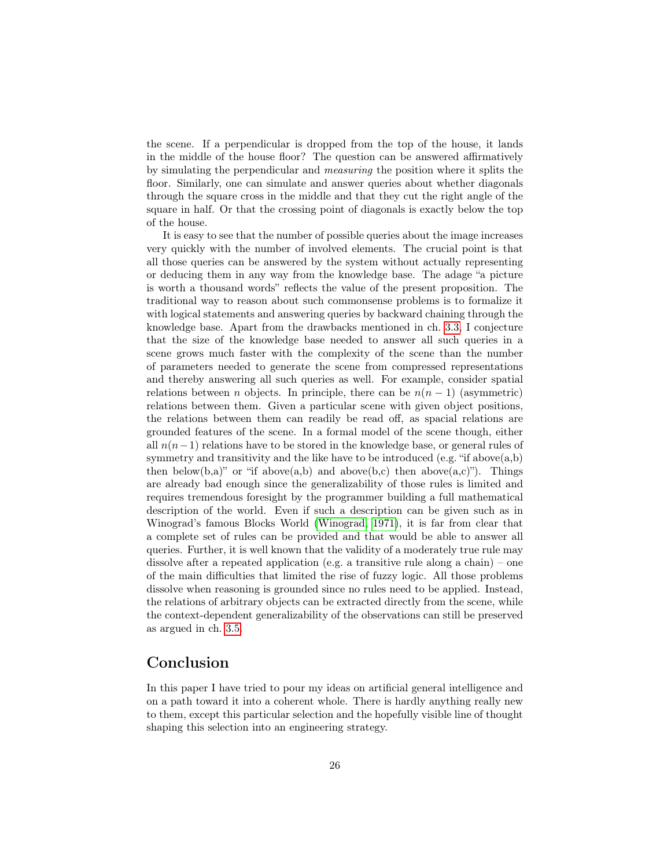the scene. If a perpendicular is dropped from the top of the house, it lands in the middle of the house floor? The question can be answered affirmatively by simulating the perpendicular and measuring the position where it splits the floor. Similarly, one can simulate and answer queries about whether diagonals through the square cross in the middle and that they cut the right angle of the square in half. Or that the crossing point of diagonals is exactly below the top of the house.

It is easy to see that the number of possible queries about the image increases very quickly with the number of involved elements. The crucial point is that all those queries can be answered by the system without actually representing or deducing them in any way from the knowledge base. The adage "a picture is worth a thousand words" reflects the value of the present proposition. The traditional way to reason about such commonsense problems is to formalize it with logical statements and answering queries by backward chaining through the knowledge base. Apart from the drawbacks mentioned in ch. [3.3,](#page-17-0) I conjecture that the size of the knowledge base needed to answer all such queries in a scene grows much faster with the complexity of the scene than the number of parameters needed to generate the scene from compressed representations and thereby answering all such queries as well. For example, consider spatial relations between n objects. In principle, there can be  $n(n-1)$  (asymmetric) relations between them. Given a particular scene with given object positions, the relations between them can readily be read off, as spacial relations are grounded features of the scene. In a formal model of the scene though, either all  $n(n-1)$  relations have to be stored in the knowledge base, or general rules of symmetry and transitivity and the like have to be introduced (e.g. "if above $(a,b)$ ) then below(b,a)" or "if above(a,b) and above(b,c) then above(a,c)"). Things are already bad enough since the generalizability of those rules is limited and requires tremendous foresight by the programmer building a full mathematical description of the world. Even if such a description can be given such as in Winograd's famous Blocks World [\(Winograd, 1971\)](#page-28-13), it is far from clear that a complete set of rules can be provided and that would be able to answer all queries. Further, it is well known that the validity of a moderately true rule may dissolve after a repeated application (e.g. a transitive rule along a chain) – one of the main difficulties that limited the rise of fuzzy logic. All those problems dissolve when reasoning is grounded since no rules need to be applied. Instead, the relations of arbitrary objects can be extracted directly from the scene, while the context-dependent generalizability of the observations can still be preserved as argued in ch. [3.5.](#page-19-0)

### <span id="page-25-0"></span>Conclusion

In this paper I have tried to pour my ideas on artificial general intelligence and on a path toward it into a coherent whole. There is hardly anything really new to them, except this particular selection and the hopefully visible line of thought shaping this selection into an engineering strategy.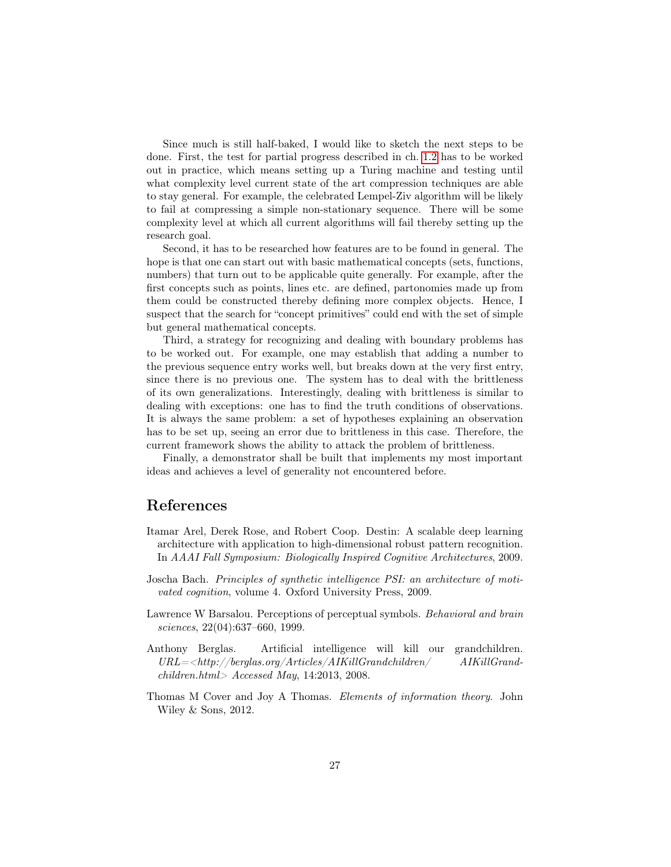Since much is still half-baked, I would like to sketch the next steps to be done. First, the test for partial progress described in ch. [1.2](#page-5-0) has to be worked out in practice, which means setting up a Turing machine and testing until what complexity level current state of the art compression techniques are able to stay general. For example, the celebrated Lempel-Ziv algorithm will be likely to fail at compressing a simple non-stationary sequence. There will be some complexity level at which all current algorithms will fail thereby setting up the research goal.

Second, it has to be researched how features are to be found in general. The hope is that one can start out with basic mathematical concepts (sets, functions, numbers) that turn out to be applicable quite generally. For example, after the first concepts such as points, lines etc. are defined, partonomies made up from them could be constructed thereby defining more complex objects. Hence, I suspect that the search for "concept primitives" could end with the set of simple but general mathematical concepts.

Third, a strategy for recognizing and dealing with boundary problems has to be worked out. For example, one may establish that adding a number to the previous sequence entry works well, but breaks down at the very first entry, since there is no previous one. The system has to deal with the brittleness of its own generalizations. Interestingly, dealing with brittleness is similar to dealing with exceptions: one has to find the truth conditions of observations. It is always the same problem: a set of hypotheses explaining an observation has to be set up, seeing an error due to brittleness in this case. Therefore, the current framework shows the ability to attack the problem of brittleness.

Finally, a demonstrator shall be built that implements my most important ideas and achieves a level of generality not encountered before.

## References

- <span id="page-26-2"></span>Itamar Arel, Derek Rose, and Robert Coop. Destin: A scalable deep learning architecture with application to high-dimensional robust pattern recognition. In AAAI Fall Symposium: Biologically Inspired Cognitive Architectures, 2009.
- <span id="page-26-4"></span>Joscha Bach. Principles of synthetic intelligence PSI: an architecture of motivated cognition, volume 4. Oxford University Press, 2009.
- <span id="page-26-3"></span>Lawrence W Barsalou. Perceptions of perceptual symbols. Behavioral and brain sciences, 22(04):637–660, 1999.
- <span id="page-26-1"></span>Anthony Berglas. Artificial intelligence will kill our grandchildren.  $URL = <$ http://berglas.org/Articles/AIKillGrandchildren/ AIKillGrand $children.html > Accessed May, 14:2013, 2008.$
- <span id="page-26-0"></span>Thomas M Cover and Joy A Thomas. Elements of information theory. John Wiley & Sons, 2012.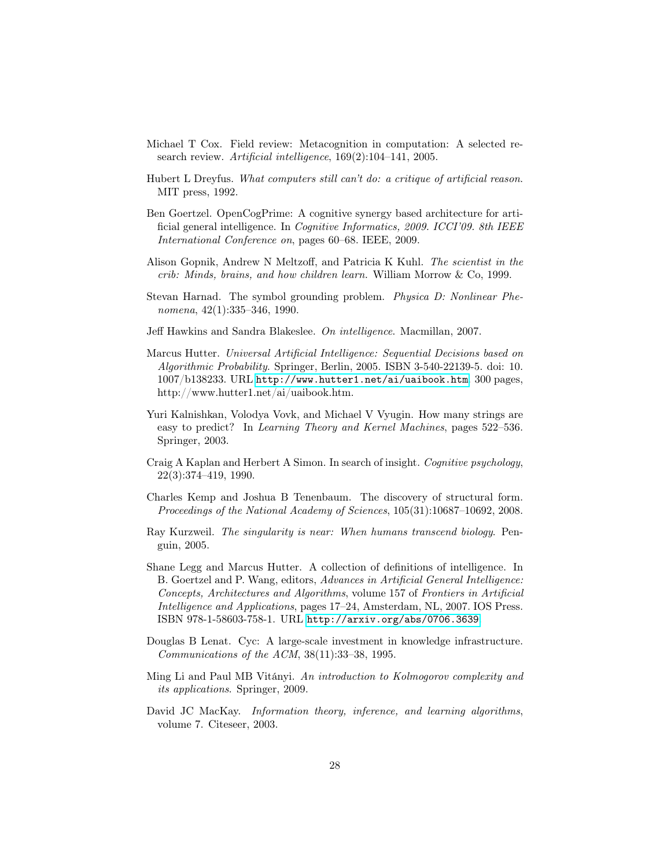- <span id="page-27-9"></span>Michael T Cox. Field review: Metacognition in computation: A selected research review. Artificial intelligence, 169(2):104–141, 2005.
- <span id="page-27-5"></span>Hubert L Dreyfus. What computers still can't do: a critique of artificial reason. MIT press, 1992.
- <span id="page-27-4"></span>Ben Goertzel. OpenCogPrime: A cognitive synergy based architecture for artificial general intelligence. In Cognitive Informatics, 2009. ICCI'09. 8th IEEE International Conference on, pages 60–68. IEEE, 2009.
- <span id="page-27-3"></span>Alison Gopnik, Andrew N Meltzoff, and Patricia K Kuhl. The scientist in the crib: Minds, brains, and how children learn. William Morrow & Co, 1999.
- <span id="page-27-11"></span>Stevan Harnad. The symbol grounding problem. Physica D: Nonlinear Phenomena, 42(1):335–346, 1990.
- <span id="page-27-12"></span>Jeff Hawkins and Sandra Blakeslee. On intelligence. Macmillan, 2007.
- <span id="page-27-2"></span>Marcus Hutter. Universal Artificial Intelligence: Sequential Decisions based on Algorithmic Probability. Springer, Berlin, 2005. ISBN 3-540-22139-5. doi: 10. 1007/b138233. URL <http://www.hutter1.net/ai/uaibook.htm>. 300 pages, http://www.hutter1.net/ai/uaibook.htm.
- <span id="page-27-7"></span>Yuri Kalnishkan, Volodya Vovk, and Michael V Vyugin. How many strings are easy to predict? In Learning Theory and Kernel Machines, pages 522–536. Springer, 2003.
- <span id="page-27-13"></span>Craig A Kaplan and Herbert A Simon. In search of insight. Cognitive psychology, 22(3):374–419, 1990.
- <span id="page-27-8"></span>Charles Kemp and Joshua B Tenenbaum. The discovery of structural form. Proceedings of the National Academy of Sciences, 105(31):10687–10692, 2008.
- <span id="page-27-0"></span>Ray Kurzweil. The singularity is near: When humans transcend biology. Penguin, 2005.
- <span id="page-27-1"></span>Shane Legg and Marcus Hutter. A collection of definitions of intelligence. In B. Goertzel and P. Wang, editors, Advances in Artificial General Intelligence: Concepts, Architectures and Algorithms, volume 157 of Frontiers in Artificial Intelligence and Applications, pages 17–24, Amsterdam, NL, 2007. IOS Press. ISBN 978-1-58603-758-1. URL <http://arxiv.org/abs/0706.3639>.
- <span id="page-27-14"></span>Douglas B Lenat. Cyc: A large-scale investment in knowledge infrastructure. Communications of the ACM, 38(11):33–38, 1995.
- <span id="page-27-6"></span>Ming Li and Paul MB Vitányi. An introduction to Kolmogorov complexity and its applications. Springer, 2009.
- <span id="page-27-10"></span>David JC MacKay. Information theory, inference, and learning algorithms, volume 7. Citeseer, 2003.